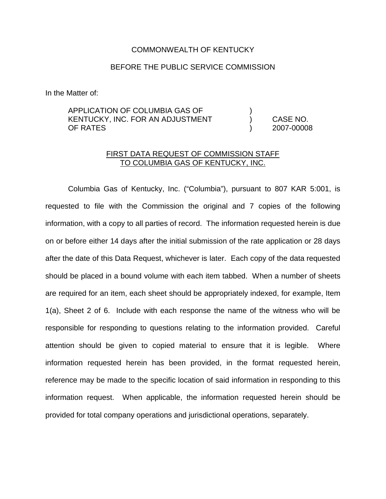# COMMONWEALTH OF KENTUCKY

# BEFORE THE PUBLIC SERVICE COMMISSION

In the Matter of:

# APPLICATION OF COLUMBIA GAS OF ) KENTUCKY, INC. FOR AN ADJUSTMENT ) CASE NO. OF RATES ) 2007-00008

# FIRST DATA REQUEST OF COMMISSION STAFF TO COLUMBIA GAS OF KENTUCKY, INC.

Columbia Gas of Kentucky, Inc. ("Columbia"), pursuant to 807 KAR 5:001, is requested to file with the Commission the original and 7 copies of the following information, with a copy to all parties of record. The information requested herein is due on or before either 14 days after the initial submission of the rate application or 28 days after the date of this Data Request, whichever is later. Each copy of the data requested should be placed in a bound volume with each item tabbed. When a number of sheets are required for an item, each sheet should be appropriately indexed, for example, Item 1(a), Sheet 2 of 6. Include with each response the name of the witness who will be responsible for responding to questions relating to the information provided. Careful attention should be given to copied material to ensure that it is legible. Where information requested herein has been provided, in the format requested herein, reference may be made to the specific location of said information in responding to this information request. When applicable, the information requested herein should be provided for total company operations and jurisdictional operations, separately.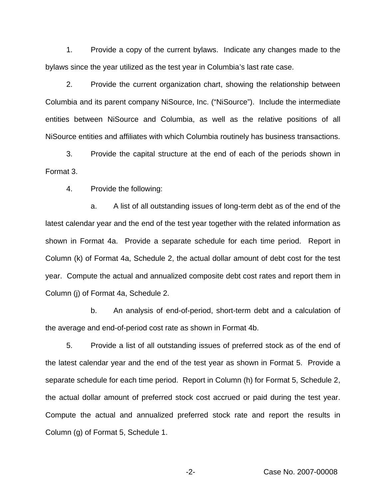1. Provide a copy of the current bylaws. Indicate any changes made to the bylaws since the year utilized as the test year in Columbia's last rate case.

2. Provide the current organization chart, showing the relationship between Columbia and its parent company NiSource, Inc. ("NiSource"). Include the intermediate entities between NiSource and Columbia, as well as the relative positions of all NiSource entities and affiliates with which Columbia routinely has business transactions.

3. Provide the capital structure at the end of each of the periods shown in Format 3.

4. Provide the following:

a. A list of all outstanding issues of long-term debt as of the end of the latest calendar year and the end of the test year together with the related information as shown in Format 4a. Provide a separate schedule for each time period. Report in Column (k) of Format 4a, Schedule 2, the actual dollar amount of debt cost for the test year. Compute the actual and annualized composite debt cost rates and report them in Column (j) of Format 4a, Schedule 2.

b. An analysis of end-of-period, short-term debt and a calculation of the average and end-of-period cost rate as shown in Format 4b.

5. Provide a list of all outstanding issues of preferred stock as of the end of the latest calendar year and the end of the test year as shown in Format 5. Provide a separate schedule for each time period. Report in Column (h) for Format 5, Schedule 2, the actual dollar amount of preferred stock cost accrued or paid during the test year. Compute the actual and annualized preferred stock rate and report the results in Column (g) of Format 5, Schedule 1.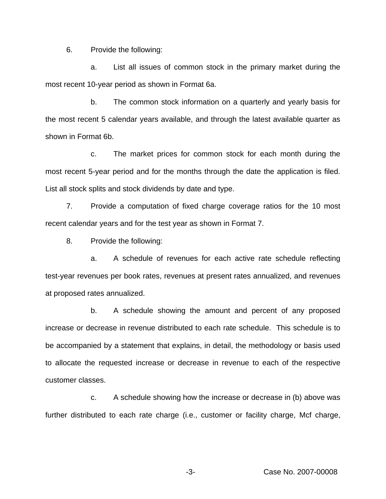6. Provide the following:

a. List all issues of common stock in the primary market during the most recent 10-year period as shown in Format 6a.

b. The common stock information on a quarterly and yearly basis for the most recent 5 calendar years available, and through the latest available quarter as shown in Format 6b.

c. The market prices for common stock for each month during the most recent 5-year period and for the months through the date the application is filed. List all stock splits and stock dividends by date and type.

7. Provide a computation of fixed charge coverage ratios for the 10 most recent calendar years and for the test year as shown in Format 7.

8. Provide the following:

a. A schedule of revenues for each active rate schedule reflecting test-year revenues per book rates, revenues at present rates annualized, and revenues at proposed rates annualized.

b. A schedule showing the amount and percent of any proposed increase or decrease in revenue distributed to each rate schedule. This schedule is to be accompanied by a statement that explains, in detail, the methodology or basis used to allocate the requested increase or decrease in revenue to each of the respective customer classes.

c. A schedule showing how the increase or decrease in (b) above was further distributed to each rate charge (i.e., customer or facility charge, Mcf charge,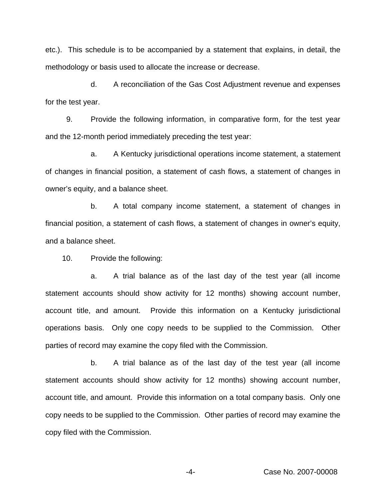etc.). This schedule is to be accompanied by a statement that explains, in detail, the methodology or basis used to allocate the increase or decrease.

d. A reconciliation of the Gas Cost Adjustment revenue and expenses for the test year.

9. Provide the following information, in comparative form, for the test year and the 12-month period immediately preceding the test year:

a. A Kentucky jurisdictional operations income statement, a statement of changes in financial position, a statement of cash flows, a statement of changes in owner's equity, and a balance sheet.

b. A total company income statement, a statement of changes in financial position, a statement of cash flows, a statement of changes in owner's equity, and a balance sheet.

10. Provide the following:

a. A trial balance as of the last day of the test year (all income statement accounts should show activity for 12 months) showing account number, account title, and amount. Provide this information on a Kentucky jurisdictional operations basis. Only one copy needs to be supplied to the Commission. Other parties of record may examine the copy filed with the Commission.

b. A trial balance as of the last day of the test year (all income statement accounts should show activity for 12 months) showing account number, account title, and amount. Provide this information on a total company basis. Only one copy needs to be supplied to the Commission. Other parties of record may examine the copy filed with the Commission.

-4- Case No. 2007-00008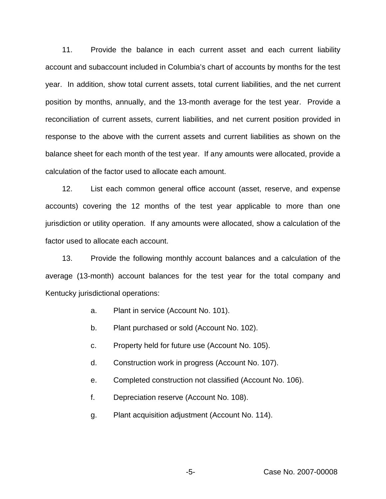11. Provide the balance in each current asset and each current liability account and subaccount included in Columbia's chart of accounts by months for the test year. In addition, show total current assets, total current liabilities, and the net current position by months, annually, and the 13-month average for the test year. Provide a reconciliation of current assets, current liabilities, and net current position provided in response to the above with the current assets and current liabilities as shown on the balance sheet for each month of the test year. If any amounts were allocated, provide a calculation of the factor used to allocate each amount.

12. List each common general office account (asset, reserve, and expense accounts) covering the 12 months of the test year applicable to more than one jurisdiction or utility operation. If any amounts were allocated, show a calculation of the factor used to allocate each account.

13. Provide the following monthly account balances and a calculation of the average (13-month) account balances for the test year for the total company and Kentucky jurisdictional operations:

- a. Plant in service (Account No. 101).
- b. Plant purchased or sold (Account No. 102).
- c. Property held for future use (Account No. 105).
- d. Construction work in progress (Account No. 107).
- e. Completed construction not classified (Account No. 106).
- f. Depreciation reserve (Account No. 108).
- g. Plant acquisition adjustment (Account No. 114).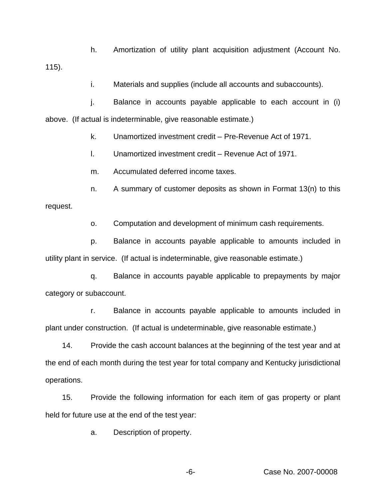h. Amortization of utility plant acquisition adjustment (Account No. 115).

i. Materials and supplies (include all accounts and subaccounts).

j. Balance in accounts payable applicable to each account in (i) above. (If actual is indeterminable, give reasonable estimate.)

k. Unamortized investment credit – Pre-Revenue Act of 1971.

l. Unamortized investment credit – Revenue Act of 1971.

m. Accumulated deferred income taxes.

n. A summary of customer deposits as shown in Format 13(n) to this request.

o. Computation and development of minimum cash requirements.

p. Balance in accounts payable applicable to amounts included in utility plant in service. (If actual is indeterminable, give reasonable estimate.)

q. Balance in accounts payable applicable to prepayments by major category or subaccount.

r. Balance in accounts payable applicable to amounts included in plant under construction. (If actual is undeterminable, give reasonable estimate.)

14. Provide the cash account balances at the beginning of the test year and at the end of each month during the test year for total company and Kentucky jurisdictional operations.

15. Provide the following information for each item of gas property or plant held for future use at the end of the test year:

a. Description of property.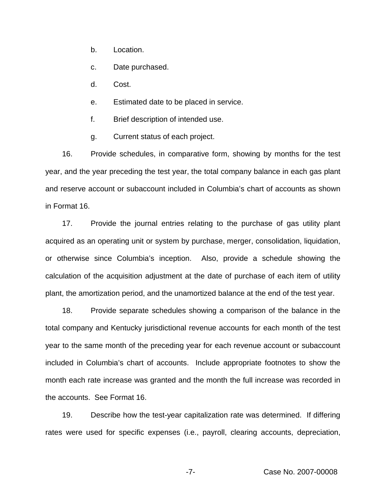b. Location.

c. Date purchased.

d. Cost.

e. Estimated date to be placed in service.

f. Brief description of intended use.

g. Current status of each project.

16. Provide schedules, in comparative form, showing by months for the test year, and the year preceding the test year, the total company balance in each gas plant and reserve account or subaccount included in Columbia's chart of accounts as shown in Format 16.

17. Provide the journal entries relating to the purchase of gas utility plant acquired as an operating unit or system by purchase, merger, consolidation, liquidation, or otherwise since Columbia's inception. Also, provide a schedule showing the calculation of the acquisition adjustment at the date of purchase of each item of utility plant, the amortization period, and the unamortized balance at the end of the test year.

18. Provide separate schedules showing a comparison of the balance in the total company and Kentucky jurisdictional revenue accounts for each month of the test year to the same month of the preceding year for each revenue account or subaccount included in Columbia's chart of accounts. Include appropriate footnotes to show the month each rate increase was granted and the month the full increase was recorded in the accounts. See Format 16.

19. Describe how the test-year capitalization rate was determined. If differing rates were used for specific expenses (i.e., payroll, clearing accounts, depreciation,

-7- Case No. 2007-00008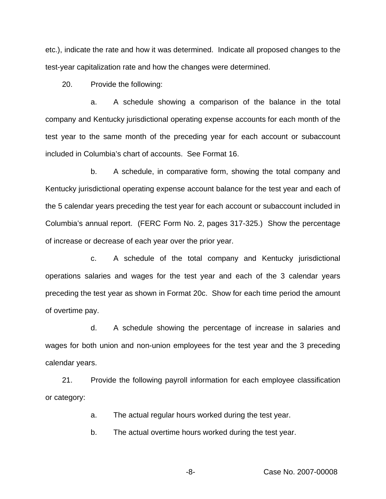etc.), indicate the rate and how it was determined. Indicate all proposed changes to the test-year capitalization rate and how the changes were determined.

20. Provide the following:

a. A schedule showing a comparison of the balance in the total company and Kentucky jurisdictional operating expense accounts for each month of the test year to the same month of the preceding year for each account or subaccount included in Columbia's chart of accounts. See Format 16.

b. A schedule, in comparative form, showing the total company and Kentucky jurisdictional operating expense account balance for the test year and each of the 5 calendar years preceding the test year for each account or subaccount included in Columbia's annual report. (FERC Form No. 2, pages 317-325.) Show the percentage of increase or decrease of each year over the prior year.

c. A schedule of the total company and Kentucky jurisdictional operations salaries and wages for the test year and each of the 3 calendar years preceding the test year as shown in Format 20c. Show for each time period the amount of overtime pay.

d. A schedule showing the percentage of increase in salaries and wages for both union and non-union employees for the test year and the 3 preceding calendar years.

21. Provide the following payroll information for each employee classification or category:

a. The actual regular hours worked during the test year.

b. The actual overtime hours worked during the test year.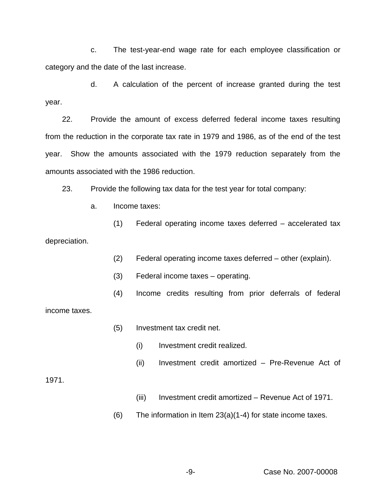c. The test-year-end wage rate for each employee classification or category and the date of the last increase.

d. A calculation of the percent of increase granted during the test year.

22. Provide the amount of excess deferred federal income taxes resulting from the reduction in the corporate tax rate in 1979 and 1986, as of the end of the test year. Show the amounts associated with the 1979 reduction separately from the amounts associated with the 1986 reduction.

23. Provide the following tax data for the test year for total company:

a. Income taxes:

(1) Federal operating income taxes deferred – accelerated tax depreciation.

- (2) Federal operating income taxes deferred other (explain).
- (3) Federal income taxes operating.
- (4) Income credits resulting from prior deferrals of federal

income taxes.

- (5) Investment tax credit net.
	- (i) Investment credit realized.
	- (ii) Investment credit amortized Pre-Revenue Act of

1971.

- (iii) Investment credit amortized Revenue Act of 1971.
- $(6)$  The information in Item 23 $(a)(1-4)$  for state income taxes.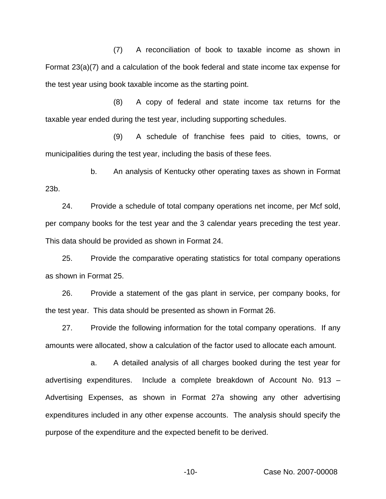(7) A reconciliation of book to taxable income as shown in Format 23(a)(7) and a calculation of the book federal and state income tax expense for the test year using book taxable income as the starting point.

(8) A copy of federal and state income tax returns for the taxable year ended during the test year, including supporting schedules.

(9) A schedule of franchise fees paid to cities, towns, or municipalities during the test year, including the basis of these fees.

b. An analysis of Kentucky other operating taxes as shown in Format 23b.

24. Provide a schedule of total company operations net income, per Mcf sold, per company books for the test year and the 3 calendar years preceding the test year. This data should be provided as shown in Format 24.

25. Provide the comparative operating statistics for total company operations as shown in Format 25.

26. Provide a statement of the gas plant in service, per company books, for the test year. This data should be presented as shown in Format 26.

27. Provide the following information for the total company operations. If any amounts were allocated, show a calculation of the factor used to allocate each amount.

a. A detailed analysis of all charges booked during the test year for advertising expenditures. Include a complete breakdown of Account No. 913 – Advertising Expenses, as shown in Format 27a showing any other advertising expenditures included in any other expense accounts. The analysis should specify the purpose of the expenditure and the expected benefit to be derived.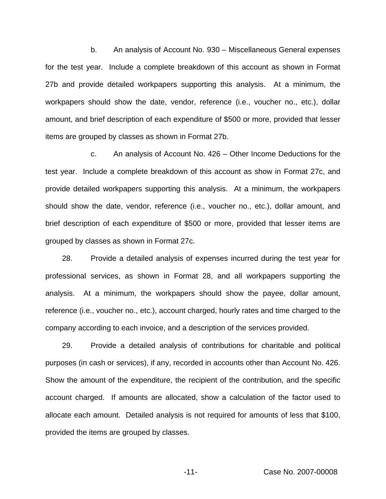b. An analysis of Account No. 930 – Miscellaneous General expenses for the test year. Include a complete breakdown of this account as shown in Format 27b and provide detailed workpapers supporting this analysis. At a minimum, the workpapers should show the date, vendor, reference (i.e., voucher no., etc.), dollar amount, and brief description of each expenditure of \$500 or more, provided that lesser items are grouped by classes as shown in Format 27b.

c. An analysis of Account No. 426 – Other Income Deductions for the test year. Include a complete breakdown of this account as show in Format 27c, and provide detailed workpapers supporting this analysis. At a minimum, the workpapers should show the date, vendor, reference (i.e., voucher no., etc.), dollar amount, and brief description of each expenditure of \$500 or more, provided that lesser items are grouped by classes as shown in Format 27c.

28. Provide a detailed analysis of expenses incurred during the test year for professional services, as shown in Format 28, and all workpapers supporting the analysis. At a minimum, the workpapers should show the payee, dollar amount, reference (i.e., voucher no., etc.), account charged, hourly rates and time charged to the company according to each invoice, and a description of the services provided.

29. Provide a detailed analysis of contributions for charitable and political purposes (in cash or services), if any, recorded in accounts other than Account No. 426. Show the amount of the expenditure, the recipient of the contribution, and the specific account charged. If amounts are allocated, show a calculation of the factor used to allocate each amount. Detailed analysis is not required for amounts of less that \$100, provided the items are grouped by classes.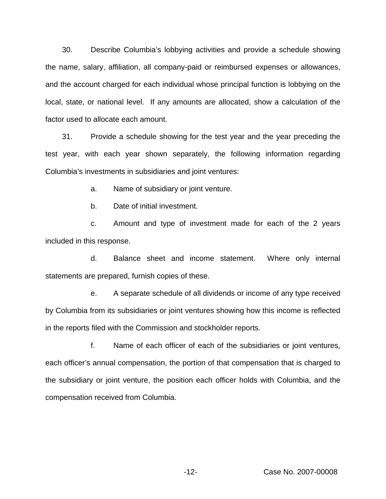30. Describe Columbia's lobbying activities and provide a schedule showing the name, salary, affiliation, all company-paid or reimbursed expenses or allowances, and the account charged for each individual whose principal function is lobbying on the local, state, or national level. If any amounts are allocated, show a calculation of the factor used to allocate each amount.

31. Provide a schedule showing for the test year and the year preceding the test year, with each year shown separately, the following information regarding Columbia's investments in subsidiaries and joint ventures:

a. Name of subsidiary or joint venture.

b. Date of initial investment.

c. Amount and type of investment made for each of the 2 years included in this response.

d. Balance sheet and income statement. Where only internal statements are prepared, furnish copies of these.

e. A separate schedule of all dividends or income of any type received by Columbia from its subsidiaries or joint ventures showing how this income is reflected in the reports filed with the Commission and stockholder reports.

f. Name of each officer of each of the subsidiaries or joint ventures, each officer's annual compensation, the portion of that compensation that is charged to the subsidiary or joint venture, the position each officer holds with Columbia, and the compensation received from Columbia.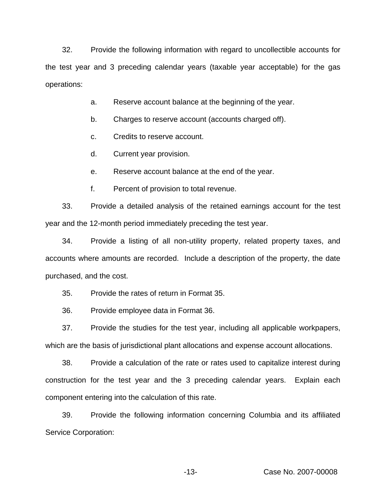32. Provide the following information with regard to uncollectible accounts for the test year and 3 preceding calendar years (taxable year acceptable) for the gas operations:

- a. Reserve account balance at the beginning of the year.
- b. Charges to reserve account (accounts charged off).
- c. Credits to reserve account.
- d. Current year provision.
- e. Reserve account balance at the end of the year.
- f. Percent of provision to total revenue.

33. Provide a detailed analysis of the retained earnings account for the test year and the 12-month period immediately preceding the test year.

34. Provide a listing of all non-utility property, related property taxes, and accounts where amounts are recorded. Include a description of the property, the date purchased, and the cost.

35. Provide the rates of return in Format 35.

36. Provide employee data in Format 36.

37. Provide the studies for the test year, including all applicable workpapers, which are the basis of jurisdictional plant allocations and expense account allocations.

38. Provide a calculation of the rate or rates used to capitalize interest during construction for the test year and the 3 preceding calendar years. Explain each component entering into the calculation of this rate.

39. Provide the following information concerning Columbia and its affiliated Service Corporation: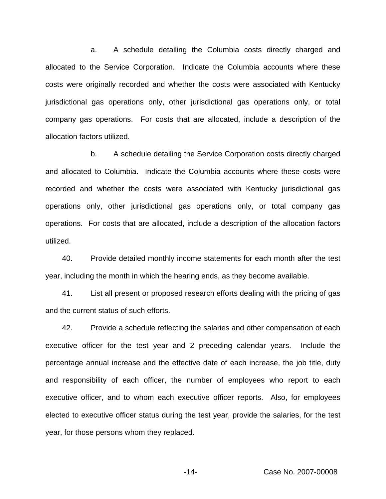a. A schedule detailing the Columbia costs directly charged and allocated to the Service Corporation. Indicate the Columbia accounts where these costs were originally recorded and whether the costs were associated with Kentucky jurisdictional gas operations only, other jurisdictional gas operations only, or total company gas operations. For costs that are allocated, include a description of the allocation factors utilized.

b. A schedule detailing the Service Corporation costs directly charged and allocated to Columbia. Indicate the Columbia accounts where these costs were recorded and whether the costs were associated with Kentucky jurisdictional gas operations only, other jurisdictional gas operations only, or total company gas operations. For costs that are allocated, include a description of the allocation factors utilized.

40. Provide detailed monthly income statements for each month after the test year, including the month in which the hearing ends, as they become available.

41. List all present or proposed research efforts dealing with the pricing of gas and the current status of such efforts.

42. Provide a schedule reflecting the salaries and other compensation of each executive officer for the test year and 2 preceding calendar years. Include the percentage annual increase and the effective date of each increase, the job title, duty and responsibility of each officer, the number of employees who report to each executive officer, and to whom each executive officer reports. Also, for employees elected to executive officer status during the test year, provide the salaries, for the test year, for those persons whom they replaced.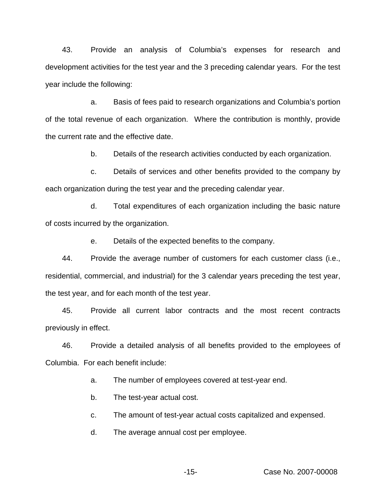43. Provide an analysis of Columbia's expenses for research and development activities for the test year and the 3 preceding calendar years. For the test year include the following:

a. Basis of fees paid to research organizations and Columbia's portion of the total revenue of each organization. Where the contribution is monthly, provide the current rate and the effective date.

b. Details of the research activities conducted by each organization.

c. Details of services and other benefits provided to the company by each organization during the test year and the preceding calendar year.

d. Total expenditures of each organization including the basic nature of costs incurred by the organization.

e. Details of the expected benefits to the company.

44. Provide the average number of customers for each customer class (i.e., residential, commercial, and industrial) for the 3 calendar years preceding the test year, the test year, and for each month of the test year.

45. Provide all current labor contracts and the most recent contracts previously in effect.

46. Provide a detailed analysis of all benefits provided to the employees of Columbia. For each benefit include:

a. The number of employees covered at test-year end.

b. The test-year actual cost.

c. The amount of test-year actual costs capitalized and expensed.

d. The average annual cost per employee.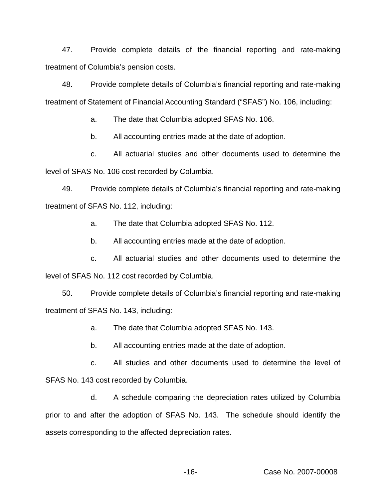47. Provide complete details of the financial reporting and rate-making treatment of Columbia's pension costs.

48. Provide complete details of Columbia's financial reporting and rate-making treatment of Statement of Financial Accounting Standard ("SFAS") No. 106, including:

a. The date that Columbia adopted SFAS No. 106.

b. All accounting entries made at the date of adoption.

c. All actuarial studies and other documents used to determine the level of SFAS No. 106 cost recorded by Columbia.

49. Provide complete details of Columbia's financial reporting and rate-making treatment of SFAS No. 112, including:

a. The date that Columbia adopted SFAS No. 112.

b. All accounting entries made at the date of adoption.

c. All actuarial studies and other documents used to determine the level of SFAS No. 112 cost recorded by Columbia.

50. Provide complete details of Columbia's financial reporting and rate-making treatment of SFAS No. 143, including:

a. The date that Columbia adopted SFAS No. 143.

b. All accounting entries made at the date of adoption.

c. All studies and other documents used to determine the level of SFAS No. 143 cost recorded by Columbia.

d. A schedule comparing the depreciation rates utilized by Columbia prior to and after the adoption of SFAS No. 143. The schedule should identify the assets corresponding to the affected depreciation rates.

-16- Case No. 2007-00008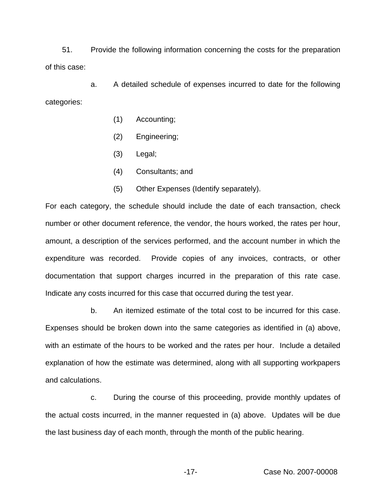51. Provide the following information concerning the costs for the preparation of this case:

a. A detailed schedule of expenses incurred to date for the following categories:

- (1) Accounting;
- (2) Engineering;
- (3) Legal;
- (4) Consultants; and
- (5) Other Expenses (Identify separately).

For each category, the schedule should include the date of each transaction, check number or other document reference, the vendor, the hours worked, the rates per hour, amount, a description of the services performed, and the account number in which the expenditure was recorded. Provide copies of any invoices, contracts, or other documentation that support charges incurred in the preparation of this rate case. Indicate any costs incurred for this case that occurred during the test year.

b. An itemized estimate of the total cost to be incurred for this case. Expenses should be broken down into the same categories as identified in (a) above, with an estimate of the hours to be worked and the rates per hour. Include a detailed explanation of how the estimate was determined, along with all supporting workpapers and calculations.

c. During the course of this proceeding, provide monthly updates of the actual costs incurred, in the manner requested in (a) above. Updates will be due the last business day of each month, through the month of the public hearing.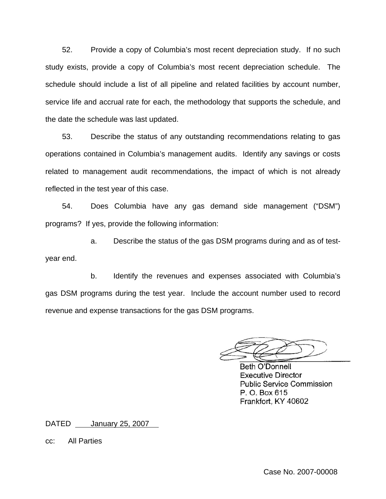52. Provide a copy of Columbia's most recent depreciation study. If no such study exists, provide a copy of Columbia's most recent depreciation schedule. The schedule should include a list of all pipeline and related facilities by account number, service life and accrual rate for each, the methodology that supports the schedule, and the date the schedule was last updated.

53. Describe the status of any outstanding recommendations relating to gas operations contained in Columbia's management audits. Identify any savings or costs related to management audit recommendations, the impact of which is not already reflected in the test year of this case.

54. Does Columbia have any gas demand side management ("DSM") programs? If yes, provide the following information:

a. Describe the status of the gas DSM programs during and as of testyear end.

b. Identify the revenues and expenses associated with Columbia's gas DSM programs during the test year. Include the account number used to record revenue and expense transactions for the gas DSM programs.

Beth O'Donnell **Executive Director Public Service Commission** P. O. Box 615 Frankfort, KY 40602

DATED January 25, 2007

cc: All Parties

Case No. 2007-00008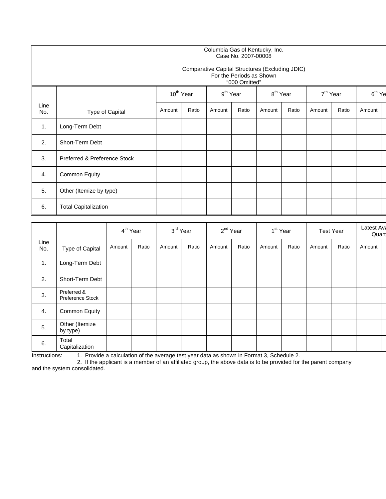### Columbia Gas of Kentucky, Inc. Case No. 2007-00008

#### Comparative Capital Structures (Excluding JDIC) For the Periods as Shown "000 Omitted"

|             |                              |        | 10 <sup>th</sup> Year |        | $9th$ Year |        | 8 <sup>th</sup> Year |        | 7 <sup>th</sup> Year |        | $6th$ Ye |
|-------------|------------------------------|--------|-----------------------|--------|------------|--------|----------------------|--------|----------------------|--------|----------|
| Line<br>No. | Type of Capital              | Amount | Ratio                 | Amount | Ratio      | Amount | Ratio                | Amount | Ratio                | Amount |          |
| 1.          | Long-Term Debt               |        |                       |        |            |        |                      |        |                      |        |          |
| 2.          | Short-Term Debt              |        |                       |        |            |        |                      |        |                      |        |          |
| 3.          | Preferred & Preference Stock |        |                       |        |            |        |                      |        |                      |        |          |
| 4.          | <b>Common Equity</b>         |        |                       |        |            |        |                      |        |                      |        |          |
| 5.          | Other (Itemize by type)      |        |                       |        |            |        |                      |        |                      |        |          |
| 6.          | <b>Total Capitalization</b>  |        |                       |        |            |        |                      |        |                      |        |          |

|             |                                 |        | 4 <sup>th</sup> Year |        | 3rd Year |        | 2 <sup>nd</sup> Year |        | 1 <sup>st</sup> Year |        | <b>Test Year</b> | Latest Ava<br>Quart |  |
|-------------|---------------------------------|--------|----------------------|--------|----------|--------|----------------------|--------|----------------------|--------|------------------|---------------------|--|
| Line<br>No. | Type of Capital                 | Amount | Ratio                | Amount | Ratio    | Amount | Ratio                | Amount | Ratio                | Amount | Ratio            | Amount              |  |
| 1.          | Long-Term Debt                  |        |                      |        |          |        |                      |        |                      |        |                  |                     |  |
| 2.          | Short-Term Debt                 |        |                      |        |          |        |                      |        |                      |        |                  |                     |  |
| 3.          | Preferred &<br>Preference Stock |        |                      |        |          |        |                      |        |                      |        |                  |                     |  |
| 4.          | <b>Common Equity</b>            |        |                      |        |          |        |                      |        |                      |        |                  |                     |  |
| 5.          | Other (Itemize<br>by type)      |        |                      |        |          |        |                      |        |                      |        |                  |                     |  |
| 6.          | Total<br>Capitalization         |        |                      |        |          |        |                      |        |                      |        |                  |                     |  |

Instructions: 1. Provide a calculation of the average test year data as shown in Format 3, Schedule 2.

2. If the applicant is a member of an affiliated group, the above data is to be provided for the parent company and the system consolidated.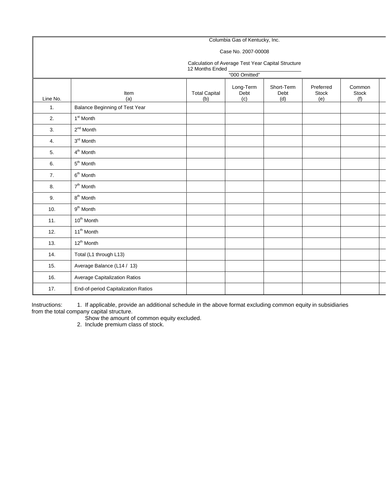#### Columbia Gas of Kentucky, Inc. Case No. 2007-00008 Calculation of Average Test Year Capital Structure 12 Months Ended "000 Omitted" Line No. Item (a) Total Capital (b) Long-Term Debt (c) Short-Term Debt (d) Preferred Stock (e) Common Stock (f) 1. Balance Beginning of Test Year 2.  $1<sup>st</sup>$  Month 3.  $2^{nd}$  Month 4. 3<sup>rd</sup> Month 5.  $4<sup>th</sup>$  Month 6. 5<sup>th</sup> Month 7.  $6<sup>th</sup> Month$ 8. 7<sup>th</sup> Month 9.  $8^{th}$  Month 10.  $9^{th}$  Month 11.  $10^{th}$  Month 12.  $11^{th}$  Month 13.  $12^{th}$  Month 14. **Total (L1 through L13)** 15. Average Balance (L14 / 13) 16. Average Capitalization Ratios

Instructions: 1. If applicable, provide an additional schedule in the above format excluding common equity in subsidiaries from the total company capital structure.

Show the amount of common equity excluded.

2. Include premium class of stock.

17. **End-of-period Capitalization Ratios**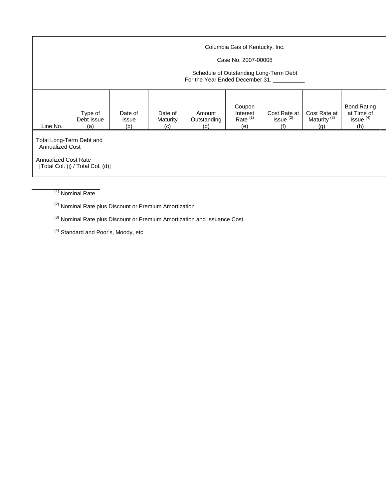|                                                                                                                        | Columbia Gas of Kentucky, Inc.<br>Case No. 2007-00008<br>Schedule of Outstanding Long-Term Debt<br>For the Year Ended December 31, |                                |                            |                              |                                         |                                       |                                                |                                                                 |  |  |  |  |
|------------------------------------------------------------------------------------------------------------------------|------------------------------------------------------------------------------------------------------------------------------------|--------------------------------|----------------------------|------------------------------|-----------------------------------------|---------------------------------------|------------------------------------------------|-----------------------------------------------------------------|--|--|--|--|
| Line No.                                                                                                               | Type of<br>Debt Issue<br>(a)                                                                                                       | Date of<br><b>Issue</b><br>(b) | Date of<br>Maturity<br>(c) | Amount<br>Outstanding<br>(d) | Coupon<br>Interest<br>Rate $(1)$<br>(e) | Cost Rate at<br>$Is sue^{(2)}$<br>(f) | Cost Rate at<br>Maturity <sup>(3)</sup><br>(g) | <b>Bond Rating</b><br>at Time of<br>Issue <sup>(4)</sup><br>(h) |  |  |  |  |
| Total Long-Term Debt and<br><b>Annualized Cost</b><br><b>Annualized Cost Rate</b><br>[Total Col. (j) / Total Col. (d)] |                                                                                                                                    |                                |                            |                              |                                         |                                       |                                                |                                                                 |  |  |  |  |

 $(1)$  Nominal Rate

(2) Nominal Rate plus Discount or Premium Amortization

(3) Nominal Rate plus Discount or Premium Amortization and Issuance Cost

(4) Standard and Poor's, Moody, etc.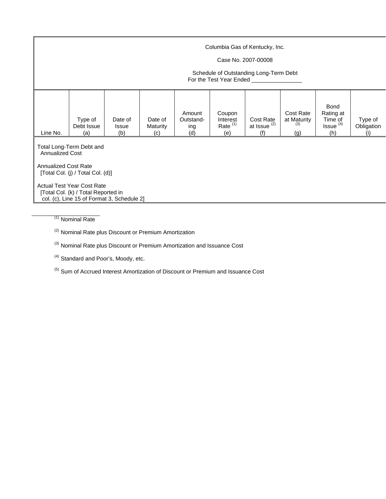|                                                                                                                                              | Columbia Gas of Kentucky, Inc.<br>Case No. 2007-00008<br>Schedule of Outstanding Long-Term Debt<br>For the Test Year Ended |                                |                            |                                   |                                         |                                             |                                        |                                                             |                              |  |  |  |
|----------------------------------------------------------------------------------------------------------------------------------------------|----------------------------------------------------------------------------------------------------------------------------|--------------------------------|----------------------------|-----------------------------------|-----------------------------------------|---------------------------------------------|----------------------------------------|-------------------------------------------------------------|------------------------------|--|--|--|
| Line No.                                                                                                                                     | Type of<br>Debt Issue<br>(a)                                                                                               | Date of<br><b>Issue</b><br>(b) | Date of<br>Maturity<br>(c) | Amount<br>Outstand-<br>ing<br>(d) | Coupon<br>Interest<br>Rate $(1)$<br>(e) | Cost Rate<br>at Issue <sup>(2)</sup><br>(f) | Cost Rate<br>at Maturity<br>(3)<br>(g) | Bond<br>Rating at<br>Time of<br>Issue <sup>(4)</sup><br>(h) | Type of<br>Obligation<br>(i) |  |  |  |
|                                                                                                                                              | Total Long-Term Debt and<br><b>Annualized Cost</b>                                                                         |                                |                            |                                   |                                         |                                             |                                        |                                                             |                              |  |  |  |
| <b>Annualized Cost Rate</b><br>[Total Col. (j) / Total Col. (d)]<br><b>Actual Test Year Cost Rate</b><br>[Total Col. (k) / Total Reported in |                                                                                                                            |                                |                            |                                   |                                         |                                             |                                        |                                                             |                              |  |  |  |
|                                                                                                                                              | col. (c), Line 15 of Format 3, Schedule 2]                                                                                 |                                |                            |                                   |                                         |                                             |                                        |                                                             |                              |  |  |  |

(1) Nominal Rate

(2) Nominal Rate plus Discount or Premium Amortization

(3) Nominal Rate plus Discount or Premium Amortization and Issuance Cost

<sup>(4)</sup> Standard and Poor's, Moody, etc.

(5) Sum of Accrued Interest Amortization of Discount or Premium and Issuance Cost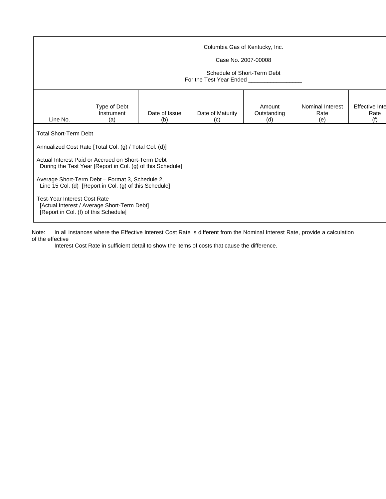|                                                                                                                                                                                                             | Columbia Gas of Kentucky, Inc.<br>Case No. 2007-00008<br>Schedule of Short-Term Debt<br>For the Test Year Ended                                                                                                                                                                                                                        |  |  |  |  |  |  |  |  |  |  |  |
|-------------------------------------------------------------------------------------------------------------------------------------------------------------------------------------------------------------|----------------------------------------------------------------------------------------------------------------------------------------------------------------------------------------------------------------------------------------------------------------------------------------------------------------------------------------|--|--|--|--|--|--|--|--|--|--|--|
| Type of Debt<br>Nominal Interest<br><b>Effective Inte</b><br>Amount<br>Instrument<br>Date of Issue<br>Date of Maturity<br>Outstanding<br>Rate<br>Rate<br>Line No.<br>(a)<br>(c)<br>(d)<br>(e)<br>(f)<br>(b) |                                                                                                                                                                                                                                                                                                                                        |  |  |  |  |  |  |  |  |  |  |  |
| <b>Total Short-Term Debt</b><br><b>Test-Year Interest Cost Rate</b><br>[Report in Col. (f) of this Schedule]                                                                                                | Annualized Cost Rate [Total Col. (g) / Total Col. (d)]<br>Actual Interest Paid or Accrued on Short-Term Debt<br>During the Test Year [Report in Col. (g) of this Schedule]<br>Average Short-Term Debt - Format 3, Schedule 2,<br>Line 15 Col. (d) [Report in Col. (g) of this Schedule]<br>[Actual Interest / Average Short-Term Debt] |  |  |  |  |  |  |  |  |  |  |  |

Note: In all instances where the Effective Interest Cost Rate is different from the Nominal Interest Rate, provide a calculation of the effective

Interest Cost Rate in sufficient detail to show the items of costs that cause the difference.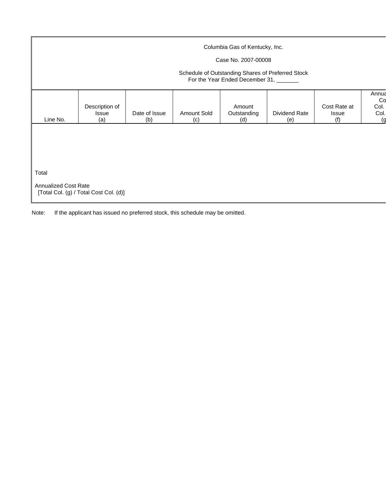|                             |                                |                      |                    | Columbia Gas of Kentucky, Inc.                                                              |                      |                                     |                                   |
|-----------------------------|--------------------------------|----------------------|--------------------|---------------------------------------------------------------------------------------------|----------------------|-------------------------------------|-----------------------------------|
|                             |                                |                      |                    | Case No. 2007-00008                                                                         |                      |                                     |                                   |
|                             |                                |                      |                    | Schedule of Outstanding Shares of Preferred Stock<br>For the Year Ended December 31, ______ |                      |                                     |                                   |
| Line No.                    | Description of<br>Issue<br>(a) | Date of Issue<br>(b) | Amount Sold<br>(c) | Amount<br>Outstanding<br>(d)                                                                | Dividend Rate<br>(e) | Cost Rate at<br><b>Issue</b><br>(f) | Annua<br>Co<br>Col.<br>Col.<br>(g |
| Total                       |                                |                      |                    |                                                                                             |                      |                                     |                                   |
| <b>Annualized Cost Rate</b> |                                |                      |                    |                                                                                             |                      |                                     |                                   |

Note: If the applicant has issued no preferred stock, this schedule may be omitted.

[Total Col. (g) / Total Cost Col. (d)]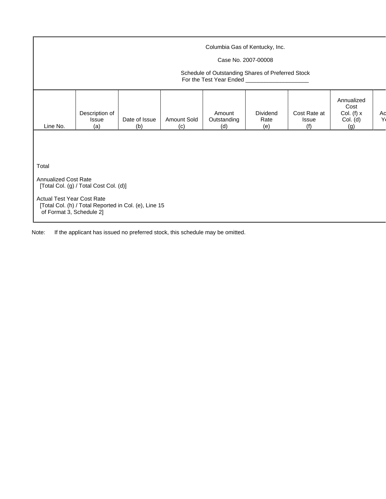|                                                                       | Columbia Gas of Kentucky, Inc.<br>Case No. 2007-00008<br>Schedule of Outstanding Shares of Preferred Stock<br>For the Test Year Ended _____________________ |                                                       |                    |                              |                         |                                     |                                                       |         |  |  |  |
|-----------------------------------------------------------------------|-------------------------------------------------------------------------------------------------------------------------------------------------------------|-------------------------------------------------------|--------------------|------------------------------|-------------------------|-------------------------------------|-------------------------------------------------------|---------|--|--|--|
| Line No.                                                              | Description of<br>Issue<br>(a)                                                                                                                              | Date of Issue<br>(b)                                  | Amount Sold<br>(c) | Amount<br>Outstanding<br>(d) | Dividend<br>Rate<br>(e) | Cost Rate at<br><b>Issue</b><br>(f) | Annualized<br>Cost<br>Col. (f) $x$<br>Col. (d)<br>(g) | Ad<br>Y |  |  |  |
|                                                                       |                                                                                                                                                             |                                                       |                    |                              |                         |                                     |                                                       |         |  |  |  |
| Total                                                                 |                                                                                                                                                             |                                                       |                    |                              |                         |                                     |                                                       |         |  |  |  |
| <b>Annualized Cost Rate</b><br>[Total Col. (g) / Total Cost Col. (d)] |                                                                                                                                                             |                                                       |                    |                              |                         |                                     |                                                       |         |  |  |  |
| <b>Actual Test Year Cost Rate</b><br>of Format 3, Schedule 2]         |                                                                                                                                                             | [Total Col. (h) / Total Reported in Col. (e), Line 15 |                    |                              |                         |                                     |                                                       |         |  |  |  |

Note: If the applicant has issued no preferred stock, this schedule may be omitted.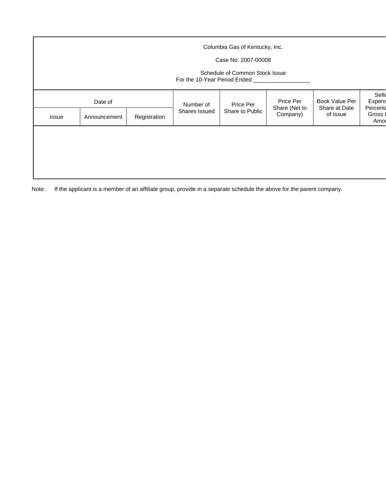|       | Columbia Gas of Kentucky, Inc.<br>Case No. 2007-00008<br>Schedule of Common Stock Issue<br>For the 10-Year Period Ended ____ |              |                            |                              |                                        |                                             |                                                           |  |  |  |  |  |  |
|-------|------------------------------------------------------------------------------------------------------------------------------|--------------|----------------------------|------------------------------|----------------------------------------|---------------------------------------------|-----------------------------------------------------------|--|--|--|--|--|--|
| Issue | Date of<br>Announcement                                                                                                      | Registration | Number of<br>Shares Issued | Price Per<br>Share to Public | Price Per<br>Share (Net to<br>Company) | Book Value Per<br>Share at Date<br>of Issue | Selli<br>Expens<br><b>Percent</b><br><b>Gross</b><br>Amor |  |  |  |  |  |  |
|       |                                                                                                                              |              |                            |                              |                                        |                                             |                                                           |  |  |  |  |  |  |

Note: If the applicant is a member of an affiliate group, provide in a separate schedule the above for the parent company.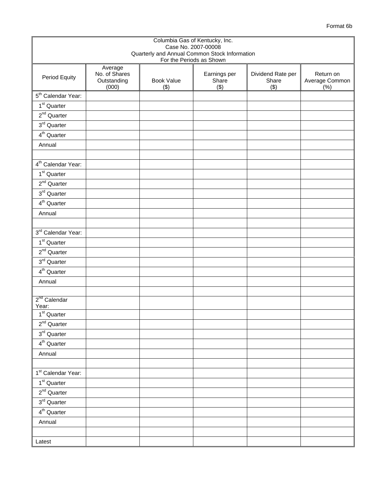| Format 6b |  |
|-----------|--|
|-----------|--|

|                                   | Columbia Gas of Kentucky, Inc.<br>Case No. 2007-00008<br>Quarterly and Annual Common Stock Information |                          |                              |                                   |                                    |  |  |  |  |  |
|-----------------------------------|--------------------------------------------------------------------------------------------------------|--------------------------|------------------------------|-----------------------------------|------------------------------------|--|--|--|--|--|
|                                   |                                                                                                        | For the Periods as Shown |                              |                                   |                                    |  |  |  |  |  |
| Period Equity                     | Average<br>No. of Shares<br>Outstanding<br>(000)                                                       | <b>Book Value</b><br>(3) | Earnings per<br>Share<br>(3) | Dividend Rate per<br>Share<br>(3) | Return on<br>Average Common<br>(%) |  |  |  |  |  |
| 5 <sup>th</sup> Calendar Year:    |                                                                                                        |                          |                              |                                   |                                    |  |  |  |  |  |
| 1 <sup>st</sup> Quarter           |                                                                                                        |                          |                              |                                   |                                    |  |  |  |  |  |
| $2nd$ Quarter                     |                                                                                                        |                          |                              |                                   |                                    |  |  |  |  |  |
| $3rd$ Quarter                     |                                                                                                        |                          |                              |                                   |                                    |  |  |  |  |  |
| 4 <sup>th</sup> Quarter           |                                                                                                        |                          |                              |                                   |                                    |  |  |  |  |  |
| Annual                            |                                                                                                        |                          |                              |                                   |                                    |  |  |  |  |  |
|                                   |                                                                                                        |                          |                              |                                   |                                    |  |  |  |  |  |
| 4 <sup>th</sup> Calendar Year:    |                                                                                                        |                          |                              |                                   |                                    |  |  |  |  |  |
| 1 <sup>st</sup> Quarter           |                                                                                                        |                          |                              |                                   |                                    |  |  |  |  |  |
| $2nd$ Quarter                     |                                                                                                        |                          |                              |                                   |                                    |  |  |  |  |  |
| $\overline{3}^{rd}$ Quarter       |                                                                                                        |                          |                              |                                   |                                    |  |  |  |  |  |
| $4^{\text{th}}$ Quarter           |                                                                                                        |                          |                              |                                   |                                    |  |  |  |  |  |
| Annual                            |                                                                                                        |                          |                              |                                   |                                    |  |  |  |  |  |
|                                   |                                                                                                        |                          |                              |                                   |                                    |  |  |  |  |  |
| 3rd Calendar Year:                |                                                                                                        |                          |                              |                                   |                                    |  |  |  |  |  |
| $1st$ Quarter                     |                                                                                                        |                          |                              |                                   |                                    |  |  |  |  |  |
| $2nd$ Quarter                     |                                                                                                        |                          |                              |                                   |                                    |  |  |  |  |  |
| $3rd$ Quarter                     |                                                                                                        |                          |                              |                                   |                                    |  |  |  |  |  |
| $4th$ Quarter                     |                                                                                                        |                          |                              |                                   |                                    |  |  |  |  |  |
| Annual                            |                                                                                                        |                          |                              |                                   |                                    |  |  |  |  |  |
|                                   |                                                                                                        |                          |                              |                                   |                                    |  |  |  |  |  |
| 2 <sup>nd</sup> Calendar<br>Year: |                                                                                                        |                          |                              |                                   |                                    |  |  |  |  |  |
| 1 <sup>st</sup> Quarter           |                                                                                                        |                          |                              |                                   |                                    |  |  |  |  |  |
| $\overline{2}^{nd}$ Quarter       |                                                                                                        |                          |                              |                                   |                                    |  |  |  |  |  |
| $3rd$ Quarter                     |                                                                                                        |                          |                              |                                   |                                    |  |  |  |  |  |
| $4th$ Quarter                     |                                                                                                        |                          |                              |                                   |                                    |  |  |  |  |  |
| Annual                            |                                                                                                        |                          |                              |                                   |                                    |  |  |  |  |  |
|                                   |                                                                                                        |                          |                              |                                   |                                    |  |  |  |  |  |
| 1 <sup>st</sup> Calendar Year:    |                                                                                                        |                          |                              |                                   |                                    |  |  |  |  |  |
| $1st$ Quarter                     |                                                                                                        |                          |                              |                                   |                                    |  |  |  |  |  |
| $2^{nd}$ Quarter                  |                                                                                                        |                          |                              |                                   |                                    |  |  |  |  |  |
| $\overline{3}^{rd}$ Quarter       |                                                                                                        |                          |                              |                                   |                                    |  |  |  |  |  |
| 4 <sup>th</sup> Quarter           |                                                                                                        |                          |                              |                                   |                                    |  |  |  |  |  |
| Annual                            |                                                                                                        |                          |                              |                                   |                                    |  |  |  |  |  |
|                                   |                                                                                                        |                          |                              |                                   |                                    |  |  |  |  |  |
| Latest                            |                                                                                                        |                          |                              |                                   |                                    |  |  |  |  |  |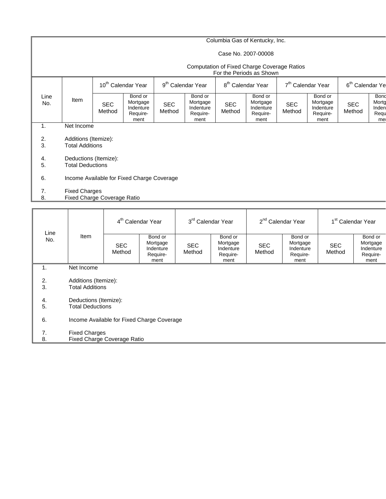## Columbia Gas of Kentucky, Inc.

### Case No. 2007-00008

### Computation of Fixed Charge Coverage Ratios

|             |                                                     |                                                |                                                      |                               |                                                      |                               | For the Periods as Shown                             |                               |                                                      |                             |                                      |
|-------------|-----------------------------------------------------|------------------------------------------------|------------------------------------------------------|-------------------------------|------------------------------------------------------|-------------------------------|------------------------------------------------------|-------------------------------|------------------------------------------------------|-----------------------------|--------------------------------------|
|             |                                                     | 10 <sup>th</sup> Calendar Year                 |                                                      | 9 <sup>th</sup> Calendar Year |                                                      | 8 <sup>th</sup> Calendar Year |                                                      | 7 <sup>th</sup> Calendar Year |                                                      | 6 <sup>th</sup> Calendar Ye |                                      |
| Line<br>No. | Item                                                | <b>SEC</b><br>Method                           | Bond or<br>Mortgage<br>Indenture<br>Require-<br>ment | <b>SEC</b><br>Method          | Bond or<br>Mortgage<br>Indenture<br>Require-<br>ment | <b>SEC</b><br>Method          | Bond or<br>Mortgage<br>Indenture<br>Require-<br>ment | <b>SEC</b><br>Method          | Bond or<br>Mortgage<br>Indenture<br>Require-<br>ment | <b>SEC</b><br>Method        | Bond<br>Morto<br>Inden<br>Requ<br>me |
| 1.          |                                                     | Net Income                                     |                                                      |                               |                                                      |                               |                                                      |                               |                                                      |                             |                                      |
| 2.<br>3.    |                                                     | Additions (Itemize):<br><b>Total Additions</b> |                                                      |                               |                                                      |                               |                                                      |                               |                                                      |                             |                                      |
| 4.<br>5.    | <b>Total Deductions</b>                             | Deductions (Itemize):                          |                                                      |                               |                                                      |                               |                                                      |                               |                                                      |                             |                                      |
| 6.          |                                                     |                                                | Income Available for Fixed Charge Coverage           |                               |                                                      |                               |                                                      |                               |                                                      |                             |                                      |
| 7.<br>8.    | <b>Fixed Charges</b><br>Fixed Charge Coverage Ratio |                                                |                                                      |                               |                                                      |                               |                                                      |                               |                                                      |                             |                                      |
|             |                                                     |                                                |                                                      |                               |                                                      |                               |                                                      |                               |                                                      |                             |                                      |

| Line     |                                                     |                                                | 4 <sup>th</sup> Calendar Year                        |                      | 3 <sup>rd</sup> Calendar Year                        |                      | 2 <sup>nd</sup> Calendar Year                        |                      | 1 <sup>st</sup> Calendar Year                        |  |  |
|----------|-----------------------------------------------------|------------------------------------------------|------------------------------------------------------|----------------------|------------------------------------------------------|----------------------|------------------------------------------------------|----------------------|------------------------------------------------------|--|--|
| No.      | Item                                                | <b>SEC</b><br>Method                           | Bond or<br>Mortgage<br>Indenture<br>Require-<br>ment | <b>SEC</b><br>Method | Bond or<br>Mortgage<br>Indenture<br>Require-<br>ment | <b>SEC</b><br>Method | Bond or<br>Mortgage<br>Indenture<br>Require-<br>ment | <b>SEC</b><br>Method | Bond or<br>Mortgage<br>Indenture<br>Require-<br>ment |  |  |
| 1.       | Net Income                                          |                                                |                                                      |                      |                                                      |                      |                                                      |                      |                                                      |  |  |
| 2.<br>3. |                                                     | Additions (Itemize):<br><b>Total Additions</b> |                                                      |                      |                                                      |                      |                                                      |                      |                                                      |  |  |
| 4.<br>5. | Deductions (Itemize):<br><b>Total Deductions</b>    |                                                |                                                      |                      |                                                      |                      |                                                      |                      |                                                      |  |  |
| 6.       |                                                     | Income Available for Fixed Charge Coverage     |                                                      |                      |                                                      |                      |                                                      |                      |                                                      |  |  |
| 7.<br>8. | <b>Fixed Charges</b><br>Fixed Charge Coverage Ratio |                                                |                                                      |                      |                                                      |                      |                                                      |                      |                                                      |  |  |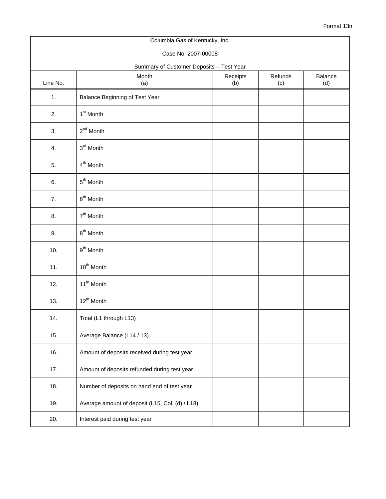|          | Columbia Gas of Kentucky, Inc.                  |                 |                |                |  |  |  |  |  |  |  |
|----------|-------------------------------------------------|-----------------|----------------|----------------|--|--|--|--|--|--|--|
|          | Case No. 2007-00008                             |                 |                |                |  |  |  |  |  |  |  |
|          | Summary of Customer Deposits - Test Year        |                 |                |                |  |  |  |  |  |  |  |
| Line No. | Month<br>(a)                                    | Receipts<br>(b) | Refunds<br>(c) | Balance<br>(d) |  |  |  |  |  |  |  |
| 1.       | Balance Beginning of Test Year                  |                 |                |                |  |  |  |  |  |  |  |
| 2.       | 1 <sup>st</sup> Month                           |                 |                |                |  |  |  |  |  |  |  |
| 3.       | $2^{nd}$ Month                                  |                 |                |                |  |  |  |  |  |  |  |
| 4.       | 3 <sup>rd</sup> Month                           |                 |                |                |  |  |  |  |  |  |  |
| 5.       | 4 <sup>th</sup> Month                           |                 |                |                |  |  |  |  |  |  |  |
| 6.       | 5 <sup>th</sup> Month                           |                 |                |                |  |  |  |  |  |  |  |
| 7.       | $6th$ Month                                     |                 |                |                |  |  |  |  |  |  |  |
| 8.       | $7th$ Month                                     |                 |                |                |  |  |  |  |  |  |  |
| 9.       | $8th$ Month                                     |                 |                |                |  |  |  |  |  |  |  |
| 10.      | $9th$ Month                                     |                 |                |                |  |  |  |  |  |  |  |
| 11.      | 10 <sup>th</sup> Month                          |                 |                |                |  |  |  |  |  |  |  |
| 12.      | 11 <sup>th</sup> Month                          |                 |                |                |  |  |  |  |  |  |  |
| 13.      | 12 <sup>th</sup> Month                          |                 |                |                |  |  |  |  |  |  |  |
| 14.      | Total (L1 through L13)                          |                 |                |                |  |  |  |  |  |  |  |
| 15.      | Average Balance (L14 / 13)                      |                 |                |                |  |  |  |  |  |  |  |
| 16.      | Amount of deposits received during test year    |                 |                |                |  |  |  |  |  |  |  |
| 17.      | Amount of deposits refunded during test year    |                 |                |                |  |  |  |  |  |  |  |
| 18.      | Number of deposits on hand end of test year     |                 |                |                |  |  |  |  |  |  |  |
| 19.      | Average amount of deposit (L15, Col. (d) / L18) |                 |                |                |  |  |  |  |  |  |  |
| 20.      | Interest paid during test year                  |                 |                |                |  |  |  |  |  |  |  |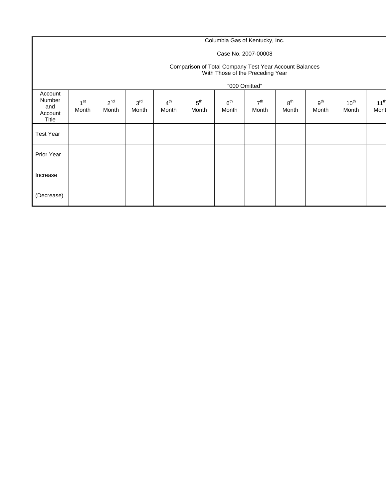# Columbia Gas of Kentucky, Inc.

## Case No. 2007-00008

#### Comparison of Total Company Test Year Account Balances With Those of the Preceding Year

|                                              |                          |                   |                          |                          |                          | "000 Omitted"            |                          |                          |                          |                    |                          |
|----------------------------------------------|--------------------------|-------------------|--------------------------|--------------------------|--------------------------|--------------------------|--------------------------|--------------------------|--------------------------|--------------------|--------------------------|
| Account<br>Number<br>and<br>Account<br>Title | 1 <sub>st</sub><br>Month | $2^{nd}$<br>Month | 3 <sup>rd</sup><br>Month | 4 <sup>th</sup><br>Month | $5^{\text{th}}$<br>Month | 6 <sup>th</sup><br>Month | 7 <sup>th</sup><br>Month | 8 <sup>th</sup><br>Month | 9 <sup>th</sup><br>Month | $10^{th}$<br>Month | 11 <sup>th</sup><br>Mont |
| <b>Test Year</b>                             |                          |                   |                          |                          |                          |                          |                          |                          |                          |                    |                          |
| Prior Year                                   |                          |                   |                          |                          |                          |                          |                          |                          |                          |                    |                          |
| Increase                                     |                          |                   |                          |                          |                          |                          |                          |                          |                          |                    |                          |
| (Decrease)                                   |                          |                   |                          |                          |                          |                          |                          |                          |                          |                    |                          |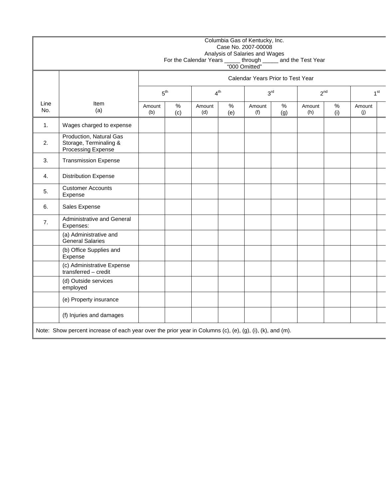|             |                                                                                                           |               |                                                                   |               |          | Columbia Gas of Kentucky, Inc.<br>Case No. 2007-00008<br>Analysis of Salaries and Wages<br>"000 Omitted" |             | For the Calendar Years ______ through _____ and the Test Year |             |               |                 |
|-------------|-----------------------------------------------------------------------------------------------------------|---------------|-------------------------------------------------------------------|---------------|----------|----------------------------------------------------------------------------------------------------------|-------------|---------------------------------------------------------------|-------------|---------------|-----------------|
|             |                                                                                                           |               | Calendar Years Prior to Test Year                                 |               |          |                                                                                                          |             |                                                               |             |               |                 |
|             |                                                                                                           |               | 3 <sup>rd</sup><br>$5^{\text{th}}$<br>4 <sup>th</sup><br>$2^{nd}$ |               |          |                                                                                                          |             |                                                               |             |               | 1 <sup>st</sup> |
| Line<br>No. | Item<br>(a)                                                                                               | Amount<br>(b) | %<br>(c)                                                          | Amount<br>(d) | %<br>(e) | Amount<br>(f)                                                                                            | $\%$<br>(g) | Amount<br>(h)                                                 | $\%$<br>(i) | Amount<br>(j) |                 |
| 1.          | Wages charged to expense                                                                                  |               |                                                                   |               |          |                                                                                                          |             |                                                               |             |               |                 |
| 2.          | Production, Natural Gas<br>Storage, Terminaling &<br>Processing Expense                                   |               |                                                                   |               |          |                                                                                                          |             |                                                               |             |               |                 |
| 3.          | <b>Transmission Expense</b>                                                                               |               |                                                                   |               |          |                                                                                                          |             |                                                               |             |               |                 |
| 4.          | <b>Distribution Expense</b>                                                                               |               |                                                                   |               |          |                                                                                                          |             |                                                               |             |               |                 |
| 5.          | <b>Customer Accounts</b><br>Expense                                                                       |               |                                                                   |               |          |                                                                                                          |             |                                                               |             |               |                 |
| 6.          | Sales Expense                                                                                             |               |                                                                   |               |          |                                                                                                          |             |                                                               |             |               |                 |
| 7.          | Administrative and General<br>Expenses:                                                                   |               |                                                                   |               |          |                                                                                                          |             |                                                               |             |               |                 |
|             | (a) Administrative and<br><b>General Salaries</b>                                                         |               |                                                                   |               |          |                                                                                                          |             |                                                               |             |               |                 |
|             | (b) Office Supplies and<br>Expense                                                                        |               |                                                                   |               |          |                                                                                                          |             |                                                               |             |               |                 |
|             | (c) Administrative Expense<br>transferred - credit                                                        |               |                                                                   |               |          |                                                                                                          |             |                                                               |             |               |                 |
|             | (d) Outside services<br>employed                                                                          |               |                                                                   |               |          |                                                                                                          |             |                                                               |             |               |                 |
|             | (e) Property insurance                                                                                    |               |                                                                   |               |          |                                                                                                          |             |                                                               |             |               |                 |
|             | (f) Injuries and damages                                                                                  |               |                                                                   |               |          |                                                                                                          |             |                                                               |             |               |                 |
|             | Note: Show percent increase of each year over the prior year in Columns (c), (e), (g), (i), (k), and (m). |               |                                                                   |               |          |                                                                                                          |             |                                                               |             |               |                 |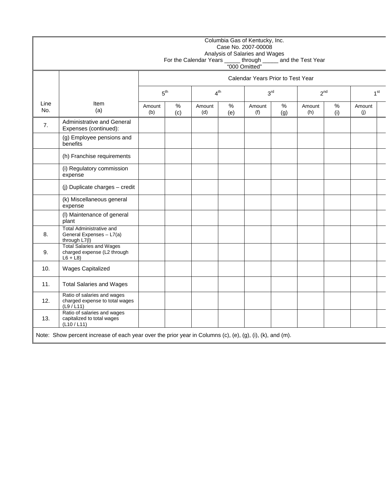|             |                                                                                                           |                                                       |                                   |               |             | Columbia Gas of Kentucky, Inc.<br>Case No. 2007-00008<br>Analysis of Salaries and Wages |             | For the Calendar Years ______ through _______ and the Test Year<br>"000 Omitted" |             |               |                 |  |
|-------------|-----------------------------------------------------------------------------------------------------------|-------------------------------------------------------|-----------------------------------|---------------|-------------|-----------------------------------------------------------------------------------------|-------------|----------------------------------------------------------------------------------|-------------|---------------|-----------------|--|
|             |                                                                                                           |                                                       | Calendar Years Prior to Test Year |               |             |                                                                                         |             |                                                                                  |             |               |                 |  |
|             |                                                                                                           | 3 <sup>rd</sup><br>5 <sup>th</sup><br>4 <sup>th</sup> |                                   |               |             |                                                                                         |             |                                                                                  | $2^{nd}$    |               | 1 <sup>st</sup> |  |
| Line<br>No. | Item<br>(a)                                                                                               | Amount<br>(b)                                         | $\%$<br>(c)                       | Amount<br>(d) | $\%$<br>(e) | Amount<br>(f)                                                                           | $\%$<br>(g) | Amount<br>(h)                                                                    | $\%$<br>(i) | Amount<br>(j) |                 |  |
| 7.          | Administrative and General<br>Expenses (continued):                                                       |                                                       |                                   |               |             |                                                                                         |             |                                                                                  |             |               |                 |  |
|             | (g) Employee pensions and<br>benefits                                                                     |                                                       |                                   |               |             |                                                                                         |             |                                                                                  |             |               |                 |  |
|             | (h) Franchise requirements                                                                                |                                                       |                                   |               |             |                                                                                         |             |                                                                                  |             |               |                 |  |
|             | (i) Regulatory commission<br>expense                                                                      |                                                       |                                   |               |             |                                                                                         |             |                                                                                  |             |               |                 |  |
|             | (j) Duplicate charges - credit                                                                            |                                                       |                                   |               |             |                                                                                         |             |                                                                                  |             |               |                 |  |
|             | (k) Miscellaneous general<br>expense                                                                      |                                                       |                                   |               |             |                                                                                         |             |                                                                                  |             |               |                 |  |
|             | (I) Maintenance of general<br>plant                                                                       |                                                       |                                   |               |             |                                                                                         |             |                                                                                  |             |               |                 |  |
| 8.          | <b>Total Administrative and</b><br>General Expenses - L7(a)<br>through L7(I)                              |                                                       |                                   |               |             |                                                                                         |             |                                                                                  |             |               |                 |  |
| 9.          | <b>Total Salaries and Wages</b><br>charged expense (L2 through<br>$L6 + L8$                               |                                                       |                                   |               |             |                                                                                         |             |                                                                                  |             |               |                 |  |
| 10.         | Wages Capitalized                                                                                         |                                                       |                                   |               |             |                                                                                         |             |                                                                                  |             |               |                 |  |
| 11.         | <b>Total Salaries and Wages</b>                                                                           |                                                       |                                   |               |             |                                                                                         |             |                                                                                  |             |               |                 |  |
| 12.         | Ratio of salaries and wages<br>charged expense to total wages<br>(L9 / L11)                               |                                                       |                                   |               |             |                                                                                         |             |                                                                                  |             |               |                 |  |
| 13.         | Ratio of salaries and wages<br>capitalized to total wages<br>(L10 / L11)                                  |                                                       |                                   |               |             |                                                                                         |             |                                                                                  |             |               |                 |  |
|             | Note: Show percent increase of each year over the prior year in Columns (c), (e), (g), (i), (k), and (m). |                                                       |                                   |               |             |                                                                                         |             |                                                                                  |             |               |                 |  |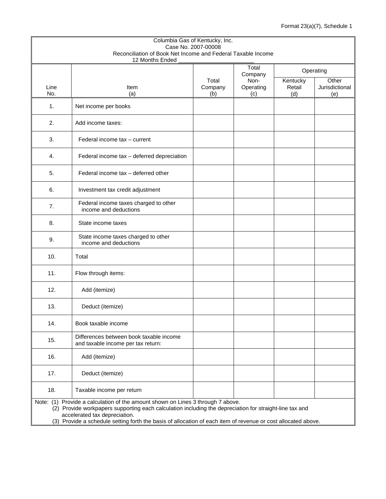|             |                                                                                                                                                                                                                                                                                                                                              |                         | Columbia Gas of Kentucky, Inc.<br>Case No. 2007-00008 |                           |                                |  |  |  |  |  |  |  |
|-------------|----------------------------------------------------------------------------------------------------------------------------------------------------------------------------------------------------------------------------------------------------------------------------------------------------------------------------------------------|-------------------------|-------------------------------------------------------|---------------------------|--------------------------------|--|--|--|--|--|--|--|
|             | Reconciliation of Book Net Income and Federal Taxable Income<br>12 Months Ended                                                                                                                                                                                                                                                              |                         |                                                       |                           |                                |  |  |  |  |  |  |  |
|             |                                                                                                                                                                                                                                                                                                                                              |                         | Total<br>Company                                      |                           | Operating                      |  |  |  |  |  |  |  |
| Line<br>No. | Item<br>(a)                                                                                                                                                                                                                                                                                                                                  | Total<br>Company<br>(b) | Non-<br>Operating<br>(c)                              | Kentucky<br>Retail<br>(d) | Other<br>Jurisdictional<br>(e) |  |  |  |  |  |  |  |
| 1.          | Net income per books                                                                                                                                                                                                                                                                                                                         |                         |                                                       |                           |                                |  |  |  |  |  |  |  |
| 2.          | Add income taxes:                                                                                                                                                                                                                                                                                                                            |                         |                                                       |                           |                                |  |  |  |  |  |  |  |
| 3.          | Federal income tax - current                                                                                                                                                                                                                                                                                                                 |                         |                                                       |                           |                                |  |  |  |  |  |  |  |
| 4.          | Federal income tax - deferred depreciation                                                                                                                                                                                                                                                                                                   |                         |                                                       |                           |                                |  |  |  |  |  |  |  |
| 5.          | Federal income tax - deferred other                                                                                                                                                                                                                                                                                                          |                         |                                                       |                           |                                |  |  |  |  |  |  |  |
| 6.          | Investment tax credit adjustment                                                                                                                                                                                                                                                                                                             |                         |                                                       |                           |                                |  |  |  |  |  |  |  |
| 7.          | Federal income taxes charged to other<br>income and deductions                                                                                                                                                                                                                                                                               |                         |                                                       |                           |                                |  |  |  |  |  |  |  |
| 8.          | State income taxes                                                                                                                                                                                                                                                                                                                           |                         |                                                       |                           |                                |  |  |  |  |  |  |  |
| 9.          | State income taxes charged to other<br>income and deductions                                                                                                                                                                                                                                                                                 |                         |                                                       |                           |                                |  |  |  |  |  |  |  |
| 10.         | Total                                                                                                                                                                                                                                                                                                                                        |                         |                                                       |                           |                                |  |  |  |  |  |  |  |
| 11.         | Flow through items:                                                                                                                                                                                                                                                                                                                          |                         |                                                       |                           |                                |  |  |  |  |  |  |  |
| 12.         | Add (itemize)                                                                                                                                                                                                                                                                                                                                |                         |                                                       |                           |                                |  |  |  |  |  |  |  |
| 13.         | Deduct (itemize)                                                                                                                                                                                                                                                                                                                             |                         |                                                       |                           |                                |  |  |  |  |  |  |  |
| 14.         | Book taxable income                                                                                                                                                                                                                                                                                                                          |                         |                                                       |                           |                                |  |  |  |  |  |  |  |
| 15.         | Differences between book taxable income<br>and taxable income per tax return:                                                                                                                                                                                                                                                                |                         |                                                       |                           |                                |  |  |  |  |  |  |  |
| 16.         | Add (itemize)                                                                                                                                                                                                                                                                                                                                |                         |                                                       |                           |                                |  |  |  |  |  |  |  |
| 17.         | Deduct (itemize)                                                                                                                                                                                                                                                                                                                             |                         |                                                       |                           |                                |  |  |  |  |  |  |  |
| 18.         | Taxable income per return                                                                                                                                                                                                                                                                                                                    |                         |                                                       |                           |                                |  |  |  |  |  |  |  |
|             | Note: (1) Provide a calculation of the amount shown on Lines 3 through 7 above.<br>(2) Provide workpapers supporting each calculation including the depreciation for straight-line tax and<br>accelerated tax depreciation.<br>(3) Provide a schedule setting forth the basis of allocation of each item of revenue or cost allocated above. |                         |                                                       |                           |                                |  |  |  |  |  |  |  |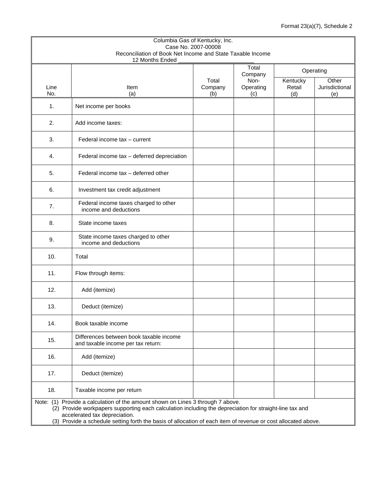|             | Columbia Gas of Kentucky, Inc.<br>Reconciliation of Book Net Income and State Taxable Income                                                                                                                                                                                                                                                 | Case No. 2007-00008 |                  |               |                                 |
|-------------|----------------------------------------------------------------------------------------------------------------------------------------------------------------------------------------------------------------------------------------------------------------------------------------------------------------------------------------------|---------------------|------------------|---------------|---------------------------------|
|             | 12 Months Ended                                                                                                                                                                                                                                                                                                                              |                     | Total            |               |                                 |
|             |                                                                                                                                                                                                                                                                                                                                              | Total               | Company<br>Non-  | Kentucky      | Operating<br>$\overline{Other}$ |
| Line<br>No. | Item<br>(a)                                                                                                                                                                                                                                                                                                                                  | Company<br>(b)      | Operating<br>(c) | Retail<br>(d) | Jurisdictional<br>(e)           |
| 1.          | Net income per books                                                                                                                                                                                                                                                                                                                         |                     |                  |               |                                 |
| 2.          | Add income taxes:                                                                                                                                                                                                                                                                                                                            |                     |                  |               |                                 |
| 3.          | Federal income tax - current                                                                                                                                                                                                                                                                                                                 |                     |                  |               |                                 |
| 4.          | Federal income tax - deferred depreciation                                                                                                                                                                                                                                                                                                   |                     |                  |               |                                 |
| 5.          | Federal income tax - deferred other                                                                                                                                                                                                                                                                                                          |                     |                  |               |                                 |
| 6.          | Investment tax credit adjustment                                                                                                                                                                                                                                                                                                             |                     |                  |               |                                 |
| 7.          | Federal income taxes charged to other<br>income and deductions                                                                                                                                                                                                                                                                               |                     |                  |               |                                 |
| 8.          | State income taxes                                                                                                                                                                                                                                                                                                                           |                     |                  |               |                                 |
| 9.          | State income taxes charged to other<br>income and deductions                                                                                                                                                                                                                                                                                 |                     |                  |               |                                 |
| 10.         | Total                                                                                                                                                                                                                                                                                                                                        |                     |                  |               |                                 |
| 11.         | Flow through items:                                                                                                                                                                                                                                                                                                                          |                     |                  |               |                                 |
| 12.         | Add (itemize)                                                                                                                                                                                                                                                                                                                                |                     |                  |               |                                 |
| 13.         | Deduct (itemize)                                                                                                                                                                                                                                                                                                                             |                     |                  |               |                                 |
| 14.         | Book taxable income                                                                                                                                                                                                                                                                                                                          |                     |                  |               |                                 |
| 15.         | Differences between book taxable income<br>and taxable income per tax return:                                                                                                                                                                                                                                                                |                     |                  |               |                                 |
| 16.         | Add (itemize)                                                                                                                                                                                                                                                                                                                                |                     |                  |               |                                 |
| 17.         | Deduct (itemize)                                                                                                                                                                                                                                                                                                                             |                     |                  |               |                                 |
| 18.         | Taxable income per return                                                                                                                                                                                                                                                                                                                    |                     |                  |               |                                 |
|             | Note: (1) Provide a calculation of the amount shown on Lines 3 through 7 above.<br>(2) Provide workpapers supporting each calculation including the depreciation for straight-line tax and<br>accelerated tax depreciation.<br>(3) Provide a schedule setting forth the basis of allocation of each item of revenue or cost allocated above. |                     |                  |               |                                 |
|             |                                                                                                                                                                                                                                                                                                                                              |                     |                  |               |                                 |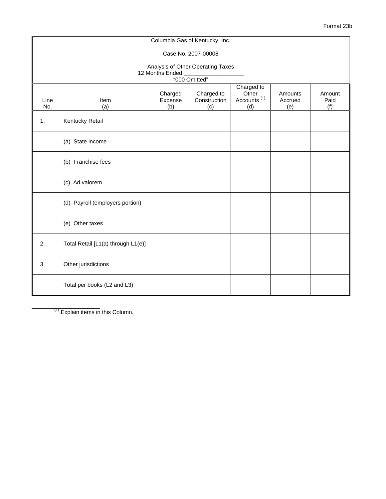|             | Columbia Gas of Kentucky, Inc.                                                                                                                                                               |                 |                     |  |  |  |  |  |  |  |  |
|-------------|----------------------------------------------------------------------------------------------------------------------------------------------------------------------------------------------|-----------------|---------------------|--|--|--|--|--|--|--|--|
|             |                                                                                                                                                                                              |                 | Case No. 2007-00008 |  |  |  |  |  |  |  |  |
|             | Analysis of Other Operating Taxes                                                                                                                                                            |                 |                     |  |  |  |  |  |  |  |  |
|             |                                                                                                                                                                                              | 12 Months Ended | "000 Omitted"       |  |  |  |  |  |  |  |  |
| Line<br>No. | Charged to<br>Other<br>Charged<br>Charged to<br>Amounts<br>Amount<br>Accounts <sup>(1)</sup><br>Expense<br>Construction<br>Accrued<br>Item<br>Paid<br>(a)<br>(b)<br>(d)<br>(e)<br>(f)<br>(c) |                 |                     |  |  |  |  |  |  |  |  |
| 1.          | Kentucky Retail                                                                                                                                                                              |                 |                     |  |  |  |  |  |  |  |  |
|             | (a) State income                                                                                                                                                                             |                 |                     |  |  |  |  |  |  |  |  |
|             | (b) Franchise fees                                                                                                                                                                           |                 |                     |  |  |  |  |  |  |  |  |
|             | (c) Ad valorem                                                                                                                                                                               |                 |                     |  |  |  |  |  |  |  |  |
|             | (d) Payroll (employers portion)                                                                                                                                                              |                 |                     |  |  |  |  |  |  |  |  |
|             | (e) Other taxes                                                                                                                                                                              |                 |                     |  |  |  |  |  |  |  |  |
| 2.          | Total Retail [L1(a) through L1(e)]                                                                                                                                                           |                 |                     |  |  |  |  |  |  |  |  |
| 3.          | Other jurisdictions                                                                                                                                                                          |                 |                     |  |  |  |  |  |  |  |  |
|             | Total per books (L2 and L3)                                                                                                                                                                  |                 |                     |  |  |  |  |  |  |  |  |

Format 23b

 $(1)$  Explain items in this Column.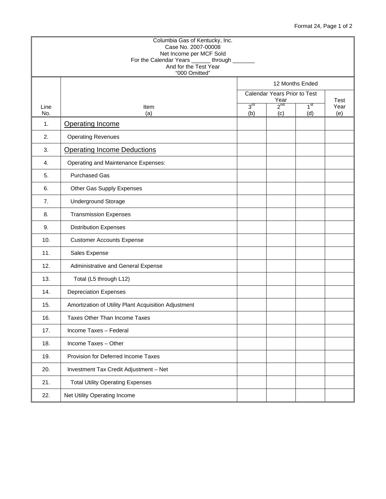## Format 24, Page 1 of 2

|             | Columbia Gas of Kentucky, Inc.<br>Case No. 2007-00008<br>Net Income per MCF Sold<br>For the Calendar Years _______ through ______<br>And for the Test Year<br>"000 Omitted" |                        |                              |                        |                     |
|-------------|-----------------------------------------------------------------------------------------------------------------------------------------------------------------------------|------------------------|------------------------------|------------------------|---------------------|
|             |                                                                                                                                                                             |                        | 12 Months Ended              |                        |                     |
|             |                                                                                                                                                                             |                        | Calendar Years Prior to Test |                        |                     |
| Line<br>No. | Item<br>(a)                                                                                                                                                                 | 3 <sup>rd</sup><br>(b) | Year<br>$2^{nd}$<br>(c)      | 1 <sup>st</sup><br>(d) | Test<br>Year<br>(e) |
| 1.          | <b>Operating Income</b>                                                                                                                                                     |                        |                              |                        |                     |
| 2.          | <b>Operating Revenues</b>                                                                                                                                                   |                        |                              |                        |                     |
| 3.          | <b>Operating Income Deductions</b>                                                                                                                                          |                        |                              |                        |                     |
| 4.          | Operating and Maintenance Expenses:                                                                                                                                         |                        |                              |                        |                     |
| 5.          | <b>Purchased Gas</b>                                                                                                                                                        |                        |                              |                        |                     |
| 6.          | Other Gas Supply Expenses                                                                                                                                                   |                        |                              |                        |                     |
| 7.          | <b>Underground Storage</b>                                                                                                                                                  |                        |                              |                        |                     |
| 8.          | <b>Transmission Expenses</b>                                                                                                                                                |                        |                              |                        |                     |
| 9.          | <b>Distribution Expenses</b>                                                                                                                                                |                        |                              |                        |                     |
| 10.         | <b>Customer Accounts Expense</b>                                                                                                                                            |                        |                              |                        |                     |
| 11.         | Sales Expense                                                                                                                                                               |                        |                              |                        |                     |
| 12.         | Administrative and General Expense                                                                                                                                          |                        |                              |                        |                     |
| 13.         | Total (L5 through L12)                                                                                                                                                      |                        |                              |                        |                     |
| 14.         | <b>Depreciation Expenses</b>                                                                                                                                                |                        |                              |                        |                     |
| 15.         | Amortization of Utility Plant Acquisition Adjustment                                                                                                                        |                        |                              |                        |                     |
| 16.         | <b>Taxes Other Than Income Taxes</b>                                                                                                                                        |                        |                              |                        |                     |
| 17.         | Income Taxes - Federal                                                                                                                                                      |                        |                              |                        |                     |
| 18.         | Income Taxes - Other                                                                                                                                                        |                        |                              |                        |                     |
| 19.         | Provision for Deferred Income Taxes                                                                                                                                         |                        |                              |                        |                     |
| 20.         | Investment Tax Credit Adjustment - Net                                                                                                                                      |                        |                              |                        |                     |
| 21.         | <b>Total Utility Operating Expenses</b>                                                                                                                                     |                        |                              |                        |                     |
| 22.         | Net Utility Operating Income                                                                                                                                                |                        |                              |                        |                     |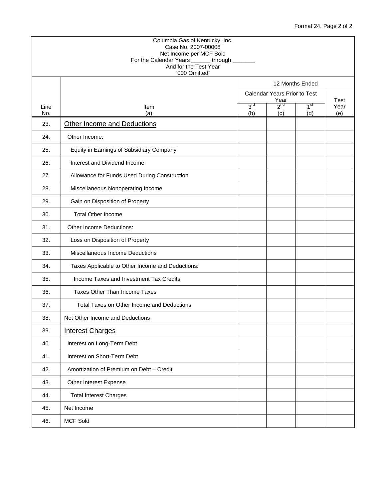## Format 24, Page 2 of 2

| Line<br>No. | Item<br>(a)                                      | 3 <sup>rd</sup>                      |                 |                        |             |
|-------------|--------------------------------------------------|--------------------------------------|-----------------|------------------------|-------------|
|             |                                                  | Calendar Years Prior to Test<br>Year |                 |                        | Test        |
|             |                                                  | (b)                                  | $2^{nd}$<br>(c) | 1 <sup>st</sup><br>(d) | Year<br>(e) |
| 23.         | Other Income and Deductions                      |                                      |                 |                        |             |
| 24.         | Other Income:                                    |                                      |                 |                        |             |
| 25.         | Equity in Earnings of Subsidiary Company         |                                      |                 |                        |             |
| 26.         | Interest and Dividend Income                     |                                      |                 |                        |             |
| 27.         | Allowance for Funds Used During Construction     |                                      |                 |                        |             |
| 28.         | Miscellaneous Nonoperating Income                |                                      |                 |                        |             |
| 29.         | Gain on Disposition of Property                  |                                      |                 |                        |             |
| 30.         | <b>Total Other Income</b>                        |                                      |                 |                        |             |
| 31.         | Other Income Deductions:                         |                                      |                 |                        |             |
| 32.         | Loss on Disposition of Property                  |                                      |                 |                        |             |
| 33.         | Miscellaneous Income Deductions                  |                                      |                 |                        |             |
| 34.         | Taxes Applicable to Other Income and Deductions: |                                      |                 |                        |             |
| 35.         | Income Taxes and Investment Tax Credits          |                                      |                 |                        |             |
| 36.         | <b>Taxes Other Than Income Taxes</b>             |                                      |                 |                        |             |
| 37.         | Total Taxes on Other Income and Deductions       |                                      |                 |                        |             |
| 38.         | Net Other Income and Deductions                  |                                      |                 |                        |             |
| 39.         | <b>Interest Charges</b>                          |                                      |                 |                        |             |
| 40.         | Interest on Long-Term Debt                       |                                      |                 |                        |             |
| 41.         | Interest on Short-Term Debt                      |                                      |                 |                        |             |
| 42.         | Amortization of Premium on Debt - Credit         |                                      |                 |                        |             |
| 43.         | Other Interest Expense                           |                                      |                 |                        |             |
| 44.         | <b>Total Interest Charges</b>                    |                                      |                 |                        |             |
| 45.         | Net Income                                       |                                      |                 |                        |             |
| 46.         | <b>MCF Sold</b>                                  |                                      |                 |                        |             |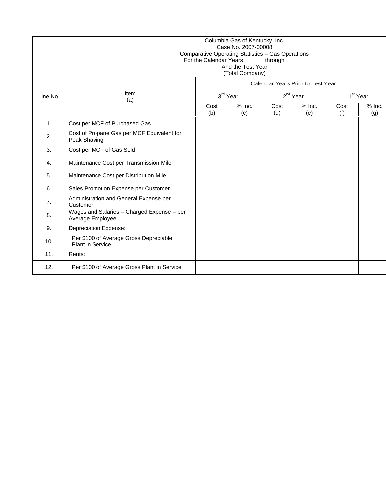|                | Columbia Gas of Kentucky, Inc.<br>Case No. 2007-00008<br>Comparative Operating Statistics - Gas Operations<br>For the Calendar Years _______ through ______<br>And the Test Year<br>(Total Company) |             |                 |             |                                   |             |                      |  |  |  |
|----------------|-----------------------------------------------------------------------------------------------------------------------------------------------------------------------------------------------------|-------------|-----------------|-------------|-----------------------------------|-------------|----------------------|--|--|--|
|                |                                                                                                                                                                                                     |             |                 |             | Calendar Years Prior to Test Year |             |                      |  |  |  |
| Line No.       | Item<br>(a)                                                                                                                                                                                         |             | 3rd Year        |             | 2 <sup>nd</sup> Year              |             | 1 <sup>st</sup> Year |  |  |  |
|                |                                                                                                                                                                                                     | Cost<br>(b) | $%$ Inc.<br>(c) | Cost<br>(d) | $%$ Inc.<br>(e)                   | Cost<br>(f) | $%$ Inc.<br>(q)      |  |  |  |
| $\mathbf{1}$ . | Cost per MCF of Purchased Gas                                                                                                                                                                       |             |                 |             |                                   |             |                      |  |  |  |
| 2.             | Cost of Propane Gas per MCF Equivalent for<br>Peak Shaving                                                                                                                                          |             |                 |             |                                   |             |                      |  |  |  |
| 3.             | Cost per MCF of Gas Sold                                                                                                                                                                            |             |                 |             |                                   |             |                      |  |  |  |
| 4.             | Maintenance Cost per Transmission Mile                                                                                                                                                              |             |                 |             |                                   |             |                      |  |  |  |
| 5.             | Maintenance Cost per Distribution Mile                                                                                                                                                              |             |                 |             |                                   |             |                      |  |  |  |
| 6.             | Sales Promotion Expense per Customer                                                                                                                                                                |             |                 |             |                                   |             |                      |  |  |  |
| 7.             | Administration and General Expense per<br>Customer                                                                                                                                                  |             |                 |             |                                   |             |                      |  |  |  |
| 8.             | Wages and Salaries - Charged Expense - per<br>Average Employee                                                                                                                                      |             |                 |             |                                   |             |                      |  |  |  |
| 9.             | <b>Depreciation Expense:</b>                                                                                                                                                                        |             |                 |             |                                   |             |                      |  |  |  |
| 10.            | Per \$100 of Average Gross Depreciable<br><b>Plant in Service</b>                                                                                                                                   |             |                 |             |                                   |             |                      |  |  |  |
| 11.            | Rents:                                                                                                                                                                                              |             |                 |             |                                   |             |                      |  |  |  |
| 12.            | Per \$100 of Average Gross Plant in Service                                                                                                                                                         |             |                 |             |                                   |             |                      |  |  |  |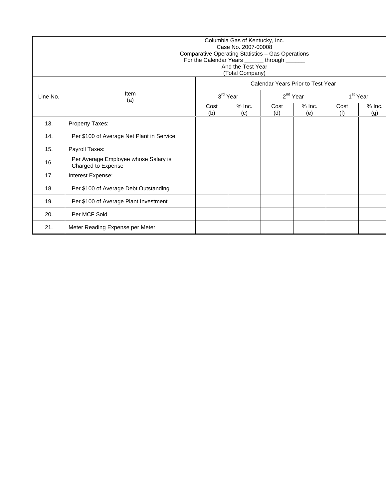|          | Columbia Gas of Kentucky, Inc.<br>Case No. 2007-00008<br>Comparative Operating Statistics - Gas Operations<br>For the Calendar Years ______ through ______<br>And the Test Year<br>(Total Company) |             |                 |             |                                   |                      |                 |  |  |  |
|----------|----------------------------------------------------------------------------------------------------------------------------------------------------------------------------------------------------|-------------|-----------------|-------------|-----------------------------------|----------------------|-----------------|--|--|--|
|          |                                                                                                                                                                                                    |             |                 |             | Calendar Years Prior to Test Year |                      |                 |  |  |  |
| Line No. | Item<br>(a)                                                                                                                                                                                        |             | 3rd Year        |             | $2^{nd}$ Year                     | 1 <sup>st</sup> Year |                 |  |  |  |
|          |                                                                                                                                                                                                    | Cost<br>(b) | $%$ Inc.<br>(c) | Cost<br>(d) | $%$ Inc.<br>(e)                   | Cost<br>(f)          | $%$ Inc.<br>(g) |  |  |  |
| 13.      | Property Taxes:                                                                                                                                                                                    |             |                 |             |                                   |                      |                 |  |  |  |
| 14.      | Per \$100 of Average Net Plant in Service                                                                                                                                                          |             |                 |             |                                   |                      |                 |  |  |  |
| 15.      | Payroll Taxes:                                                                                                                                                                                     |             |                 |             |                                   |                      |                 |  |  |  |
| 16.      | Per Average Employee whose Salary is<br>Charged to Expense                                                                                                                                         |             |                 |             |                                   |                      |                 |  |  |  |
| 17.      | Interest Expense:                                                                                                                                                                                  |             |                 |             |                                   |                      |                 |  |  |  |
| 18.      | Per \$100 of Average Debt Outstanding                                                                                                                                                              |             |                 |             |                                   |                      |                 |  |  |  |
| 19.      | Per \$100 of Average Plant Investment                                                                                                                                                              |             |                 |             |                                   |                      |                 |  |  |  |
| 20.      | Per MCF Sold                                                                                                                                                                                       |             |                 |             |                                   |                      |                 |  |  |  |
| 21.      | Meter Reading Expense per Meter                                                                                                                                                                    |             |                 |             |                                   |                      |                 |  |  |  |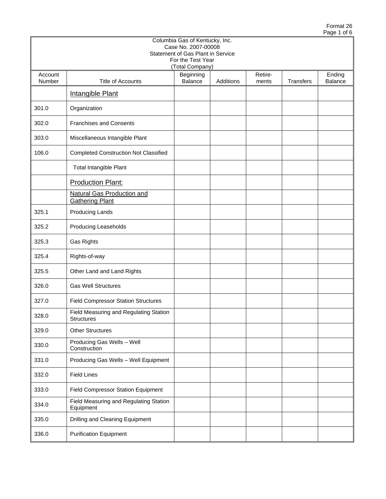|                   |                                                             | Columbia Gas of Kentucky, Inc.<br>Case No. 2007-00008                     |           |                  |                  |                   |
|-------------------|-------------------------------------------------------------|---------------------------------------------------------------------------|-----------|------------------|------------------|-------------------|
|                   |                                                             | Statement of Gas Plant in Service<br>For the Test Year<br>(Total Company) |           |                  |                  |                   |
| Account<br>Number | <b>Title of Accounts</b>                                    | Beginning<br>Balance                                                      | Additions | Retire-<br>ments | <b>Transfers</b> | Ending<br>Balance |
|                   | <b>Intangible Plant</b>                                     |                                                                           |           |                  |                  |                   |
| 301.0             | Organization                                                |                                                                           |           |                  |                  |                   |
| 302.0             | <b>Franchises and Consents</b>                              |                                                                           |           |                  |                  |                   |
| 303.0             | Miscellaneous Intangible Plant                              |                                                                           |           |                  |                  |                   |
| 106.0             | <b>Completed Construction Not Classified</b>                |                                                                           |           |                  |                  |                   |
|                   | Total Intangible Plant                                      |                                                                           |           |                  |                  |                   |
|                   | <b>Production Plant:</b>                                    |                                                                           |           |                  |                  |                   |
|                   | Natural Gas Production and<br><b>Gathering Plant</b>        |                                                                           |           |                  |                  |                   |
| 325.1             | <b>Producing Lands</b>                                      |                                                                           |           |                  |                  |                   |
| 325.2             | Producing Leaseholds                                        |                                                                           |           |                  |                  |                   |
| 325.3             | Gas Rights                                                  |                                                                           |           |                  |                  |                   |
| 325.4             | Rights-of-way                                               |                                                                           |           |                  |                  |                   |
| 325.5             | Other Land and Land Rights                                  |                                                                           |           |                  |                  |                   |
| 326.0             | <b>Gas Well Structures</b>                                  |                                                                           |           |                  |                  |                   |
| 327.0             | <b>Field Compressor Station Structures</b>                  |                                                                           |           |                  |                  |                   |
| 328.0             | Field Measuring and Regulating Station<br><b>Structures</b> |                                                                           |           |                  |                  |                   |
| 329.0             | <b>Other Structures</b>                                     |                                                                           |           |                  |                  |                   |
| 330.0             | Producing Gas Wells - Well<br>Construction                  |                                                                           |           |                  |                  |                   |
| 331.0             | Producing Gas Wells - Well Equipment                        |                                                                           |           |                  |                  |                   |
| 332.0             | <b>Field Lines</b>                                          |                                                                           |           |                  |                  |                   |
| 333.0             | Field Compressor Station Equipment                          |                                                                           |           |                  |                  |                   |
| 334.0             | Field Measuring and Regulating Station<br>Equipment         |                                                                           |           |                  |                  |                   |
| 335.0             | Drilling and Cleaning Equipment                             |                                                                           |           |                  |                  |                   |
| 336.0             | <b>Purification Equipment</b>                               |                                                                           |           |                  |                  |                   |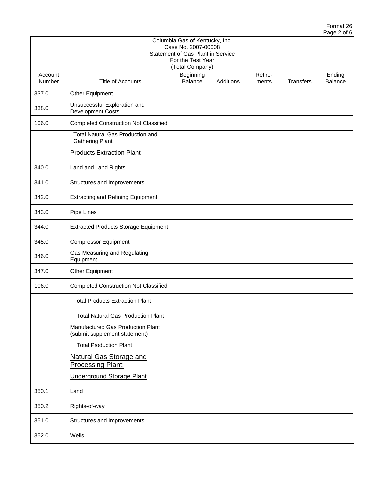|                   |                                                                           | Columbia Gas of Kentucky, Inc.<br>Case No. 2007-00008                     |           |                  |           |                   |
|-------------------|---------------------------------------------------------------------------|---------------------------------------------------------------------------|-----------|------------------|-----------|-------------------|
|                   |                                                                           | Statement of Gas Plant in Service<br>For the Test Year<br>(Total Company) |           |                  |           |                   |
| Account<br>Number | Title of Accounts                                                         | Beginning<br>Balance                                                      | Additions | Retire-<br>ments | Transfers | Ending<br>Balance |
| 337.0             | Other Equipment                                                           |                                                                           |           |                  |           |                   |
| 338.0             | Unsuccessful Exploration and<br><b>Development Costs</b>                  |                                                                           |           |                  |           |                   |
| 106.0             | <b>Completed Construction Not Classified</b>                              |                                                                           |           |                  |           |                   |
|                   | <b>Total Natural Gas Production and</b><br><b>Gathering Plant</b>         |                                                                           |           |                  |           |                   |
|                   | <b>Products Extraction Plant</b>                                          |                                                                           |           |                  |           |                   |
| 340.0             | Land and Land Rights                                                      |                                                                           |           |                  |           |                   |
| 341.0             | Structures and Improvements                                               |                                                                           |           |                  |           |                   |
| 342.0             | <b>Extracting and Refining Equipment</b>                                  |                                                                           |           |                  |           |                   |
| 343.0             | Pipe Lines                                                                |                                                                           |           |                  |           |                   |
| 344.0             | <b>Extracted Products Storage Equipment</b>                               |                                                                           |           |                  |           |                   |
| 345.0             | <b>Compressor Equipment</b>                                               |                                                                           |           |                  |           |                   |
| 346.0             | Gas Measuring and Regulating<br>Equipment                                 |                                                                           |           |                  |           |                   |
| 347.0             | Other Equipment                                                           |                                                                           |           |                  |           |                   |
| 106.0             | <b>Completed Construction Not Classified</b>                              |                                                                           |           |                  |           |                   |
|                   | <b>Total Products Extraction Plant</b>                                    |                                                                           |           |                  |           |                   |
|                   | <b>Total Natural Gas Production Plant</b>                                 |                                                                           |           |                  |           |                   |
|                   | <b>Manufactured Gas Production Plant</b><br>(submit supplement statement) |                                                                           |           |                  |           |                   |
|                   | <b>Total Production Plant</b>                                             |                                                                           |           |                  |           |                   |
|                   | <b>Natural Gas Storage and</b><br><b>Processing Plant:</b>                |                                                                           |           |                  |           |                   |
|                   | <b>Underground Storage Plant</b>                                          |                                                                           |           |                  |           |                   |
| 350.1             | Land                                                                      |                                                                           |           |                  |           |                   |
| 350.2             | Rights-of-way                                                             |                                                                           |           |                  |           |                   |
| 351.0             | Structures and Improvements                                               |                                                                           |           |                  |           |                   |
| 352.0             | Wells                                                                     |                                                                           |           |                  |           |                   |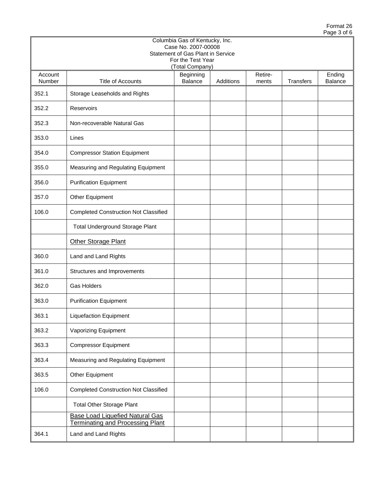|                   | Columbia Gas of Kentucky, Inc.<br>Case No. 2007-00008<br>Statement of Gas Plant in Service<br>For the Test Year<br>(Total Company) |                      |           |                  |                  |                          |  |  |  |  |  |  |
|-------------------|------------------------------------------------------------------------------------------------------------------------------------|----------------------|-----------|------------------|------------------|--------------------------|--|--|--|--|--|--|
| Account<br>Number | <b>Title of Accounts</b>                                                                                                           | Beginning<br>Balance | Additions | Retire-<br>ments | <b>Transfers</b> | Ending<br><b>Balance</b> |  |  |  |  |  |  |
| 352.1             | Storage Leaseholds and Rights                                                                                                      |                      |           |                  |                  |                          |  |  |  |  |  |  |
| 352.2             | Reservoirs                                                                                                                         |                      |           |                  |                  |                          |  |  |  |  |  |  |
| 352.3             | Non-recoverable Natural Gas                                                                                                        |                      |           |                  |                  |                          |  |  |  |  |  |  |
| 353.0             | Lines                                                                                                                              |                      |           |                  |                  |                          |  |  |  |  |  |  |
| 354.0             | <b>Compressor Station Equipment</b>                                                                                                |                      |           |                  |                  |                          |  |  |  |  |  |  |
| 355.0             | Measuring and Regulating Equipment                                                                                                 |                      |           |                  |                  |                          |  |  |  |  |  |  |
| 356.0             | <b>Purification Equipment</b>                                                                                                      |                      |           |                  |                  |                          |  |  |  |  |  |  |
| 357.0             | Other Equipment                                                                                                                    |                      |           |                  |                  |                          |  |  |  |  |  |  |
| 106.0             | <b>Completed Construction Not Classified</b>                                                                                       |                      |           |                  |                  |                          |  |  |  |  |  |  |
|                   | Total Underground Storage Plant                                                                                                    |                      |           |                  |                  |                          |  |  |  |  |  |  |
|                   | Other Storage Plant                                                                                                                |                      |           |                  |                  |                          |  |  |  |  |  |  |
| 360.0             | Land and Land Rights                                                                                                               |                      |           |                  |                  |                          |  |  |  |  |  |  |
| 361.0             | Structures and Improvements                                                                                                        |                      |           |                  |                  |                          |  |  |  |  |  |  |
| 362.0             | <b>Gas Holders</b>                                                                                                                 |                      |           |                  |                  |                          |  |  |  |  |  |  |
| 363.0             | <b>Purification Equipment</b>                                                                                                      |                      |           |                  |                  |                          |  |  |  |  |  |  |
| 363.1             | <b>Liquefaction Equipment</b>                                                                                                      |                      |           |                  |                  |                          |  |  |  |  |  |  |
| 363.2             | Vaporizing Equipment                                                                                                               |                      |           |                  |                  |                          |  |  |  |  |  |  |
| 363.3             | <b>Compressor Equipment</b>                                                                                                        |                      |           |                  |                  |                          |  |  |  |  |  |  |
| 363.4             | Measuring and Regulating Equipment                                                                                                 |                      |           |                  |                  |                          |  |  |  |  |  |  |
| 363.5             | Other Equipment                                                                                                                    |                      |           |                  |                  |                          |  |  |  |  |  |  |
| 106.0             | <b>Completed Construction Not Classified</b>                                                                                       |                      |           |                  |                  |                          |  |  |  |  |  |  |
|                   | <b>Total Other Storage Plant</b>                                                                                                   |                      |           |                  |                  |                          |  |  |  |  |  |  |
|                   | <b>Base Load Liquefied Natural Gas</b><br><b>Terminating and Processing Plant</b>                                                  |                      |           |                  |                  |                          |  |  |  |  |  |  |
| 364.1             | Land and Land Rights                                                                                                               |                      |           |                  |                  |                          |  |  |  |  |  |  |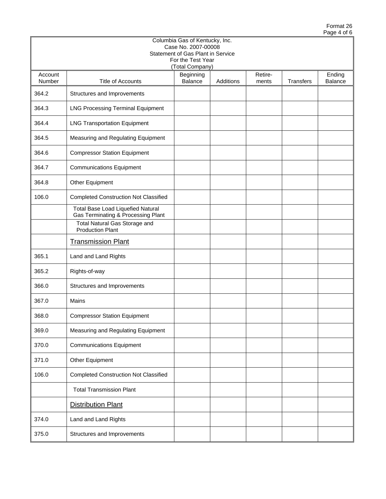|                   |                                                                                | Columbia Gas of Kentucky, Inc.<br>Case No. 2007-00008                     |           |                  |           |                          |
|-------------------|--------------------------------------------------------------------------------|---------------------------------------------------------------------------|-----------|------------------|-----------|--------------------------|
|                   |                                                                                | Statement of Gas Plant in Service<br>For the Test Year<br>(Total Company) |           |                  |           |                          |
| Account<br>Number | <b>Title of Accounts</b>                                                       | Beginning<br><b>Balance</b>                                               | Additions | Retire-<br>ments | Transfers | Ending<br><b>Balance</b> |
| 364.2             | Structures and Improvements                                                    |                                                                           |           |                  |           |                          |
| 364.3             | <b>LNG Processing Terminal Equipment</b>                                       |                                                                           |           |                  |           |                          |
| 364.4             | <b>LNG Transportation Equipment</b>                                            |                                                                           |           |                  |           |                          |
| 364.5             | Measuring and Regulating Equipment                                             |                                                                           |           |                  |           |                          |
| 364.6             | <b>Compressor Station Equipment</b>                                            |                                                                           |           |                  |           |                          |
| 364.7             | <b>Communications Equipment</b>                                                |                                                                           |           |                  |           |                          |
| 364.8             | Other Equipment                                                                |                                                                           |           |                  |           |                          |
| 106.0             | <b>Completed Construction Not Classified</b>                                   |                                                                           |           |                  |           |                          |
|                   | <b>Total Base Load Liquefied Natural</b><br>Gas Terminating & Processing Plant |                                                                           |           |                  |           |                          |
|                   | Total Natural Gas Storage and<br><b>Production Plant</b>                       |                                                                           |           |                  |           |                          |
|                   | <b>Transmission Plant</b>                                                      |                                                                           |           |                  |           |                          |
| 365.1             | Land and Land Rights                                                           |                                                                           |           |                  |           |                          |
| 365.2             | Rights-of-way                                                                  |                                                                           |           |                  |           |                          |
| 366.0             | Structures and Improvements                                                    |                                                                           |           |                  |           |                          |
| 367.0             | Mains                                                                          |                                                                           |           |                  |           |                          |
| 368.0             | <b>Compressor Station Equipment</b>                                            |                                                                           |           |                  |           |                          |
| 369.0             | Measuring and Regulating Equipment                                             |                                                                           |           |                  |           |                          |
| 370.0             | <b>Communications Equipment</b>                                                |                                                                           |           |                  |           |                          |
| 371.0             | Other Equipment                                                                |                                                                           |           |                  |           |                          |
| 106.0             | <b>Completed Construction Not Classified</b>                                   |                                                                           |           |                  |           |                          |
|                   | <b>Total Transmission Plant</b>                                                |                                                                           |           |                  |           |                          |
|                   | <b>Distribution Plant</b>                                                      |                                                                           |           |                  |           |                          |
| 374.0             | Land and Land Rights                                                           |                                                                           |           |                  |           |                          |
| 375.0             | Structures and Improvements                                                    |                                                                           |           |                  |           |                          |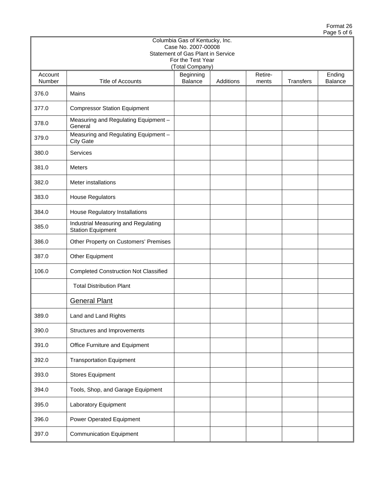|                   | Columbia Gas of Kentucky, Inc.<br>Case No. 2007-00008<br>Statement of Gas Plant in Service<br>For the Test Year<br>(Total Company) |                      |           |                  |                  |                   |  |  |  |  |  |
|-------------------|------------------------------------------------------------------------------------------------------------------------------------|----------------------|-----------|------------------|------------------|-------------------|--|--|--|--|--|
| Account<br>Number | Title of Accounts                                                                                                                  | Beginning<br>Balance | Additions | Retire-<br>ments | <b>Transfers</b> | Ending<br>Balance |  |  |  |  |  |
| 376.0             | Mains                                                                                                                              |                      |           |                  |                  |                   |  |  |  |  |  |
| 377.0             | <b>Compressor Station Equipment</b>                                                                                                |                      |           |                  |                  |                   |  |  |  |  |  |
| 378.0             | Measuring and Regulating Equipment -<br>General                                                                                    |                      |           |                  |                  |                   |  |  |  |  |  |
| 379.0             | Measuring and Regulating Equipment -<br><b>City Gate</b>                                                                           |                      |           |                  |                  |                   |  |  |  |  |  |
| 380.0             | Services                                                                                                                           |                      |           |                  |                  |                   |  |  |  |  |  |
| 381.0             | <b>Meters</b>                                                                                                                      |                      |           |                  |                  |                   |  |  |  |  |  |
| 382.0             | Meter installations                                                                                                                |                      |           |                  |                  |                   |  |  |  |  |  |
| 383.0             | <b>House Regulators</b>                                                                                                            |                      |           |                  |                  |                   |  |  |  |  |  |
| 384.0             | House Regulatory Installations                                                                                                     |                      |           |                  |                  |                   |  |  |  |  |  |
| 385.0             | Industrial Measuring and Regulating<br><b>Station Equipment</b>                                                                    |                      |           |                  |                  |                   |  |  |  |  |  |
| 386.0             | Other Property on Customers' Premises                                                                                              |                      |           |                  |                  |                   |  |  |  |  |  |
| 387.0             | Other Equipment                                                                                                                    |                      |           |                  |                  |                   |  |  |  |  |  |
| 106.0             | <b>Completed Construction Not Classified</b>                                                                                       |                      |           |                  |                  |                   |  |  |  |  |  |
|                   | <b>Total Distribution Plant</b>                                                                                                    |                      |           |                  |                  |                   |  |  |  |  |  |
|                   | <b>General Plant</b>                                                                                                               |                      |           |                  |                  |                   |  |  |  |  |  |
| 389.0             | Land and Land Rights                                                                                                               |                      |           |                  |                  |                   |  |  |  |  |  |
| 390.0             | Structures and Improvements                                                                                                        |                      |           |                  |                  |                   |  |  |  |  |  |
| 391.0             | Office Furniture and Equipment                                                                                                     |                      |           |                  |                  |                   |  |  |  |  |  |
| 392.0             | <b>Transportation Equipment</b>                                                                                                    |                      |           |                  |                  |                   |  |  |  |  |  |
| 393.0             | <b>Stores Equipment</b>                                                                                                            |                      |           |                  |                  |                   |  |  |  |  |  |
| 394.0             | Tools, Shop, and Garage Equipment                                                                                                  |                      |           |                  |                  |                   |  |  |  |  |  |
| 395.0             | Laboratory Equipment                                                                                                               |                      |           |                  |                  |                   |  |  |  |  |  |
| 396.0             | Power Operated Equipment                                                                                                           |                      |           |                  |                  |                   |  |  |  |  |  |
| 397.0             | <b>Communication Equipment</b>                                                                                                     |                      |           |                  |                  |                   |  |  |  |  |  |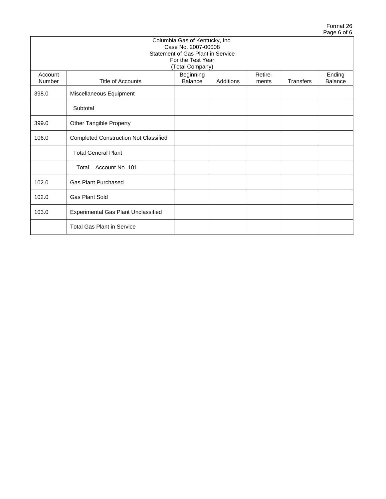|                   |                                                                                                                            |                                                                                                                 |  |  |  | . |  |  |  |  |  |
|-------------------|----------------------------------------------------------------------------------------------------------------------------|-----------------------------------------------------------------------------------------------------------------|--|--|--|---|--|--|--|--|--|
|                   |                                                                                                                            | Columbia Gas of Kentucky, Inc.<br>Case No. 2007-00008<br>Statement of Gas Plant in Service<br>For the Test Year |  |  |  |   |  |  |  |  |  |
|                   |                                                                                                                            | (Total Company)                                                                                                 |  |  |  |   |  |  |  |  |  |
| Account<br>Number | Retire-<br>Ending<br>Beginning<br>Balance<br>Transfers<br><b>Title of Accounts</b><br>Additions<br><b>Balance</b><br>ments |                                                                                                                 |  |  |  |   |  |  |  |  |  |
| 398.0             | Miscellaneous Equipment                                                                                                    |                                                                                                                 |  |  |  |   |  |  |  |  |  |
|                   | Subtotal                                                                                                                   |                                                                                                                 |  |  |  |   |  |  |  |  |  |
| 399.0             | Other Tangible Property                                                                                                    |                                                                                                                 |  |  |  |   |  |  |  |  |  |
| 106.0             | <b>Completed Construction Not Classified</b>                                                                               |                                                                                                                 |  |  |  |   |  |  |  |  |  |
|                   | <b>Total General Plant</b>                                                                                                 |                                                                                                                 |  |  |  |   |  |  |  |  |  |
|                   | Total - Account No. 101                                                                                                    |                                                                                                                 |  |  |  |   |  |  |  |  |  |
| 102.0             | <b>Gas Plant Purchased</b>                                                                                                 |                                                                                                                 |  |  |  |   |  |  |  |  |  |
| 102.0             | <b>Gas Plant Sold</b>                                                                                                      |                                                                                                                 |  |  |  |   |  |  |  |  |  |
| 103.0             | <b>Experimental Gas Plant Unclassified</b>                                                                                 |                                                                                                                 |  |  |  |   |  |  |  |  |  |
|                   | <b>Total Gas Plant in Service</b>                                                                                          |                                                                                                                 |  |  |  |   |  |  |  |  |  |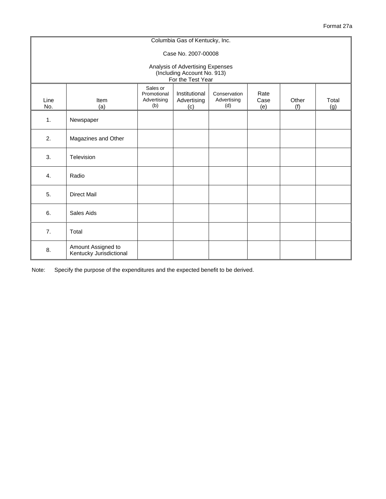|                                                                                      |                                               |                                               | Columbia Gas of Kentucky, Inc.      |                                    |                     |              |              |  |  |  |  |  |
|--------------------------------------------------------------------------------------|-----------------------------------------------|-----------------------------------------------|-------------------------------------|------------------------------------|---------------------|--------------|--------------|--|--|--|--|--|
| Case No. 2007-00008                                                                  |                                               |                                               |                                     |                                    |                     |              |              |  |  |  |  |  |
| Analysis of Advertising Expenses<br>(Including Account No. 913)<br>For the Test Year |                                               |                                               |                                     |                                    |                     |              |              |  |  |  |  |  |
| Line<br>No.                                                                          | Item<br>(a)                                   | Sales or<br>Promotional<br>Advertising<br>(b) | Institutional<br>Advertising<br>(c) | Conservation<br>Advertising<br>(d) | Rate<br>Case<br>(e) | Other<br>(f) | Total<br>(g) |  |  |  |  |  |
| 1.                                                                                   | Newspaper                                     |                                               |                                     |                                    |                     |              |              |  |  |  |  |  |
| 2.                                                                                   | Magazines and Other                           |                                               |                                     |                                    |                     |              |              |  |  |  |  |  |
| 3.                                                                                   | Television                                    |                                               |                                     |                                    |                     |              |              |  |  |  |  |  |
| 4.                                                                                   | Radio                                         |                                               |                                     |                                    |                     |              |              |  |  |  |  |  |
| 5.                                                                                   | <b>Direct Mail</b>                            |                                               |                                     |                                    |                     |              |              |  |  |  |  |  |
| 6.                                                                                   | Sales Aids                                    |                                               |                                     |                                    |                     |              |              |  |  |  |  |  |
| 7.                                                                                   | Total                                         |                                               |                                     |                                    |                     |              |              |  |  |  |  |  |
| 8.                                                                                   | Amount Assigned to<br>Kentucky Jurisdictional |                                               |                                     |                                    |                     |              |              |  |  |  |  |  |

Note: Specify the purpose of the expenditures and the expected benefit to be derived.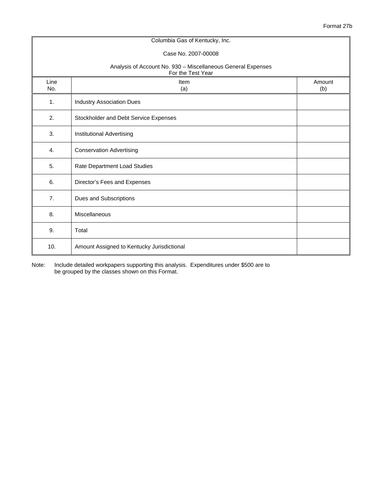|                | Columbia Gas of Kentucky, Inc.                                                    |               |  |  |  |  |  |  |  |
|----------------|-----------------------------------------------------------------------------------|---------------|--|--|--|--|--|--|--|
|                | Case No. 2007-00008                                                               |               |  |  |  |  |  |  |  |
|                | Analysis of Account No. 930 - Miscellaneous General Expenses<br>For the Test Year |               |  |  |  |  |  |  |  |
| Line<br>No.    | Item<br>(a)                                                                       | Amount<br>(b) |  |  |  |  |  |  |  |
| 1.             | <b>Industry Association Dues</b>                                                  |               |  |  |  |  |  |  |  |
| 2.             | Stockholder and Debt Service Expenses                                             |               |  |  |  |  |  |  |  |
| 3.             | Institutional Advertising                                                         |               |  |  |  |  |  |  |  |
| $\mathbf{4}$ . | <b>Conservation Advertising</b>                                                   |               |  |  |  |  |  |  |  |
| 5.             | Rate Department Load Studies                                                      |               |  |  |  |  |  |  |  |
| 6.             | Director's Fees and Expenses                                                      |               |  |  |  |  |  |  |  |
| 7.             | Dues and Subscriptions                                                            |               |  |  |  |  |  |  |  |
| 8.             | Miscellaneous                                                                     |               |  |  |  |  |  |  |  |
| 9.             | Total                                                                             |               |  |  |  |  |  |  |  |
| 10.            | Amount Assigned to Kentucky Jurisdictional                                        |               |  |  |  |  |  |  |  |

Note: Include detailed workpapers supporting this analysis. Expenditures under \$500 are to be grouped by the classes shown on this Format.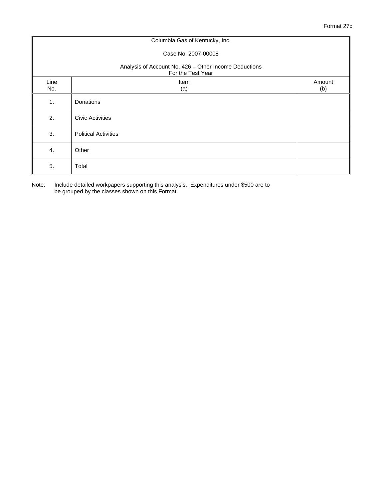|                                                                            | Columbia Gas of Kentucky, Inc. |               |  |  |  |  |  |  |  |
|----------------------------------------------------------------------------|--------------------------------|---------------|--|--|--|--|--|--|--|
|                                                                            | Case No. 2007-00008            |               |  |  |  |  |  |  |  |
| Analysis of Account No. 426 - Other Income Deductions<br>For the Test Year |                                |               |  |  |  |  |  |  |  |
| Line<br>No.                                                                | Item<br>(a)                    | Amount<br>(b) |  |  |  |  |  |  |  |
| 1.                                                                         | Donations                      |               |  |  |  |  |  |  |  |
| 2.                                                                         | <b>Civic Activities</b>        |               |  |  |  |  |  |  |  |
| 3.                                                                         | <b>Political Activities</b>    |               |  |  |  |  |  |  |  |
| 4.                                                                         | Other                          |               |  |  |  |  |  |  |  |
| 5.                                                                         | Total                          |               |  |  |  |  |  |  |  |

Note: Include detailed workpapers supporting this analysis. Expenditures under \$500 are to be grouped by the classes shown on this Format.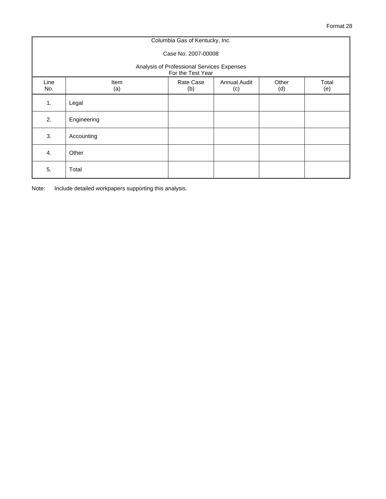|                                                                 | Columbia Gas of Kentucky, Inc. |                  |                            |              |              |  |  |  |  |  |  |  |
|-----------------------------------------------------------------|--------------------------------|------------------|----------------------------|--------------|--------------|--|--|--|--|--|--|--|
| Case No. 2007-00008                                             |                                |                  |                            |              |              |  |  |  |  |  |  |  |
| Analysis of Professional Services Expenses<br>For the Test Year |                                |                  |                            |              |              |  |  |  |  |  |  |  |
| Line<br>No.                                                     | <b>Item</b><br>(a)             | Rate Case<br>(b) | <b>Annual Audit</b><br>(c) | Other<br>(d) | Total<br>(e) |  |  |  |  |  |  |  |
| 1.                                                              | Legal                          |                  |                            |              |              |  |  |  |  |  |  |  |
| 2.                                                              | Engineering                    |                  |                            |              |              |  |  |  |  |  |  |  |
| 3.                                                              | Accounting                     |                  |                            |              |              |  |  |  |  |  |  |  |
| 4.                                                              | Other                          |                  |                            |              |              |  |  |  |  |  |  |  |
| 5.                                                              | Total                          |                  |                            |              |              |  |  |  |  |  |  |  |

Note: Include detailed workpapers supporting this analysis.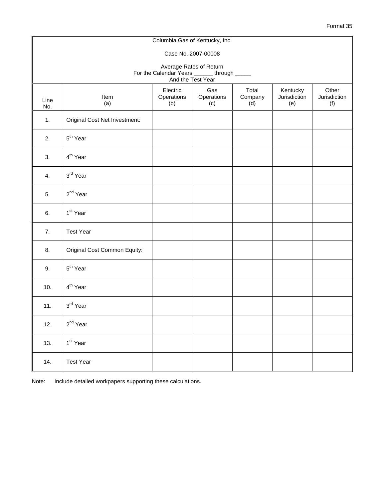|                                                                                             |                                                                                                                                                                        |  | Columbia Gas of Kentucky, Inc. |  |  |  |  |  |  |  |  |  |  |
|---------------------------------------------------------------------------------------------|------------------------------------------------------------------------------------------------------------------------------------------------------------------------|--|--------------------------------|--|--|--|--|--|--|--|--|--|--|
|                                                                                             | Case No. 2007-00008                                                                                                                                                    |  |                                |  |  |  |  |  |  |  |  |  |  |
| Average Rates of Return<br>For the Calendar Years ______ through _____<br>And the Test Year |                                                                                                                                                                        |  |                                |  |  |  |  |  |  |  |  |  |  |
| Line<br>No.                                                                                 | Total<br>Electric<br>Gas<br>Kentucky<br>Other<br>Operations<br>Operations<br>Company<br>Jurisdiction<br>Jurisdiction<br>Item<br>(a)<br>(b)<br>(c)<br>(d)<br>(e)<br>(f) |  |                                |  |  |  |  |  |  |  |  |  |  |
| 1.                                                                                          | Original Cost Net Investment:                                                                                                                                          |  |                                |  |  |  |  |  |  |  |  |  |  |
| 2.                                                                                          | 5 <sup>th</sup> Year                                                                                                                                                   |  |                                |  |  |  |  |  |  |  |  |  |  |
| 3.                                                                                          | 4 <sup>th</sup> Year                                                                                                                                                   |  |                                |  |  |  |  |  |  |  |  |  |  |
| 4.                                                                                          | 3rd Year                                                                                                                                                               |  |                                |  |  |  |  |  |  |  |  |  |  |
| 5.                                                                                          | 2 <sup>nd</sup> Year                                                                                                                                                   |  |                                |  |  |  |  |  |  |  |  |  |  |
| 6.                                                                                          | 1 <sup>st</sup> Year                                                                                                                                                   |  |                                |  |  |  |  |  |  |  |  |  |  |
| 7.                                                                                          | <b>Test Year</b>                                                                                                                                                       |  |                                |  |  |  |  |  |  |  |  |  |  |
| 8.                                                                                          | Original Cost Common Equity:                                                                                                                                           |  |                                |  |  |  |  |  |  |  |  |  |  |
| 9.                                                                                          | 5 <sup>th</sup> Year                                                                                                                                                   |  |                                |  |  |  |  |  |  |  |  |  |  |
| 10.                                                                                         | 4 <sup>th</sup> Year                                                                                                                                                   |  |                                |  |  |  |  |  |  |  |  |  |  |
| 11.                                                                                         | 3rd Year                                                                                                                                                               |  |                                |  |  |  |  |  |  |  |  |  |  |
| 12.                                                                                         | $2^{nd}$ Year                                                                                                                                                          |  |                                |  |  |  |  |  |  |  |  |  |  |
| 13.                                                                                         | 1 <sup>st</sup> Year                                                                                                                                                   |  |                                |  |  |  |  |  |  |  |  |  |  |
| 14.                                                                                         | <b>Test Year</b>                                                                                                                                                       |  |                                |  |  |  |  |  |  |  |  |  |  |

Note: Include detailed workpapers supporting these calculations.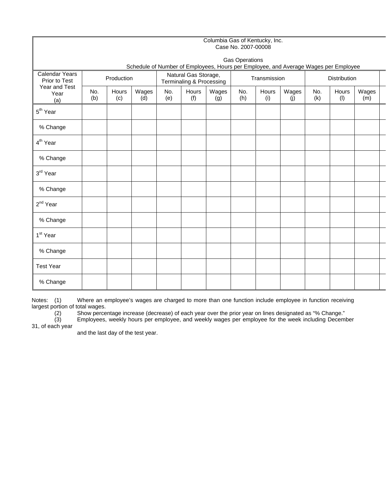|                                                                        |                                                                                     | Columbia Gas of Kentucky, Inc.<br>Case No. 2007-00008 |              |            |                                                  |              |            |              |              |                     |              |              |  |
|------------------------------------------------------------------------|-------------------------------------------------------------------------------------|-------------------------------------------------------|--------------|------------|--------------------------------------------------|--------------|------------|--------------|--------------|---------------------|--------------|--------------|--|
|                                                                        | <b>Gas Operations</b>                                                               |                                                       |              |            |                                                  |              |            |              |              |                     |              |              |  |
|                                                                        | Schedule of Number of Employees, Hours per Employee, and Average Wages per Employee |                                                       |              |            |                                                  |              |            |              |              |                     |              |              |  |
| <b>Calendar Years</b><br>Prior to Test<br>Year and Test<br>Year<br>(a) | Production                                                                          |                                                       |              |            | Natural Gas Storage,<br>Terminaling & Processing |              |            | Transmission |              | <b>Distribution</b> |              |              |  |
|                                                                        | No.<br>(b)                                                                          | Hours<br>(c)                                          | Wages<br>(d) | No.<br>(e) | Hours<br>(f)                                     | Wages<br>(g) | No.<br>(h) | Hours<br>(i) | Wages<br>(j) | No.<br>(k)          | Hours<br>(1) | Wages<br>(m) |  |
| 5 <sup>th</sup> Year                                                   |                                                                                     |                                                       |              |            |                                                  |              |            |              |              |                     |              |              |  |
| % Change                                                               |                                                                                     |                                                       |              |            |                                                  |              |            |              |              |                     |              |              |  |
| 4 <sup>th</sup> Year                                                   |                                                                                     |                                                       |              |            |                                                  |              |            |              |              |                     |              |              |  |
| % Change                                                               |                                                                                     |                                                       |              |            |                                                  |              |            |              |              |                     |              |              |  |
| 3rd Year                                                               |                                                                                     |                                                       |              |            |                                                  |              |            |              |              |                     |              |              |  |
| % Change                                                               |                                                                                     |                                                       |              |            |                                                  |              |            |              |              |                     |              |              |  |
| 2 <sup>nd</sup> Year                                                   |                                                                                     |                                                       |              |            |                                                  |              |            |              |              |                     |              |              |  |
| % Change                                                               |                                                                                     |                                                       |              |            |                                                  |              |            |              |              |                     |              |              |  |
| 1 <sup>st</sup> Year                                                   |                                                                                     |                                                       |              |            |                                                  |              |            |              |              |                     |              |              |  |
| % Change                                                               |                                                                                     |                                                       |              |            |                                                  |              |            |              |              |                     |              |              |  |
| <b>Test Year</b>                                                       |                                                                                     |                                                       |              |            |                                                  |              |            |              |              |                     |              |              |  |
| % Change                                                               |                                                                                     |                                                       |              |            |                                                  |              |            |              |              |                     |              |              |  |

Notes: (1) Where an employee's wages are charged to more than one function include employee in function receiving largest portion of total wages.

(2) Show percentage increase (decrease) of each year over the prior year on lines designated as "% Change."

(3) Employees, weekly hours per employee, and weekly wages per employee for the week including December  $(2)$ <br> $(3)$ <br>31, of each year

and the last day of the test year.